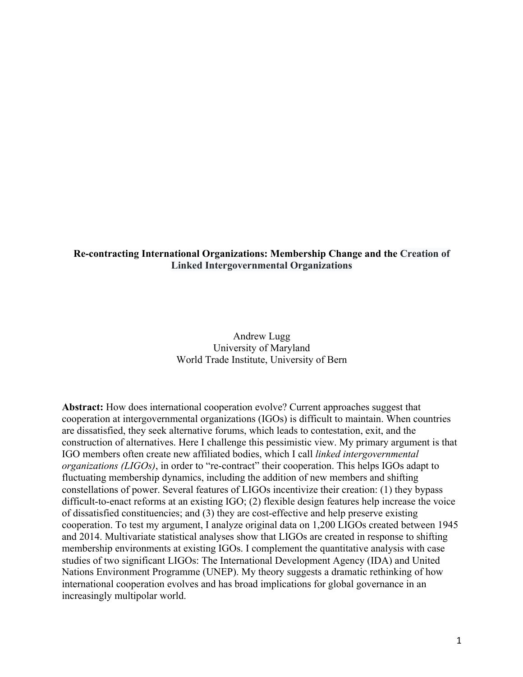# **Re-contracting International Organizations: Membership Change and the Creation of Linked Intergovernmental Organizations**

# Andrew Lugg University of Maryland World Trade Institute, University of Bern

**Abstract:** How does international cooperation evolve? Current approaches suggest that cooperation at intergovernmental organizations (IGOs) is difficult to maintain. When countries are dissatisfied, they seek alternative forums, which leads to contestation, exit, and the construction of alternatives. Here I challenge this pessimistic view. My primary argument is that IGO members often create new affiliated bodies, which I call *linked intergovernmental organizations (LIGOs)*, in order to "re-contract" their cooperation. This helps IGOs adapt to fluctuating membership dynamics, including the addition of new members and shifting constellations of power. Several features of LIGOs incentivize their creation: (1) they bypass difficult-to-enact reforms at an existing IGO; (2) flexible design features help increase the voice of dissatisfied constituencies; and (3) they are cost-effective and help preserve existing cooperation. To test my argument, I analyze original data on 1,200 LIGOs created between 1945 and 2014. Multivariate statistical analyses show that LIGOs are created in response to shifting membership environments at existing IGOs. I complement the quantitative analysis with case studies of two significant LIGOs: The International Development Agency (IDA) and United Nations Environment Programme (UNEP). My theory suggests a dramatic rethinking of how international cooperation evolves and has broad implications for global governance in an increasingly multipolar world.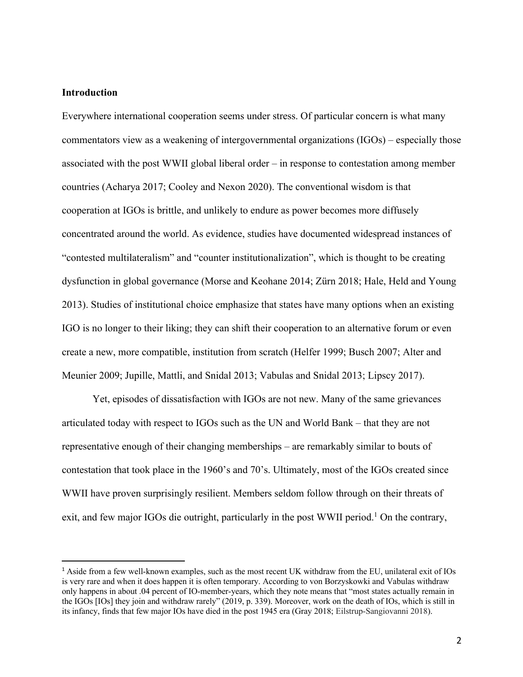## **Introduction**

Everywhere international cooperation seems under stress. Of particular concern is what many commentators view as a weakening of intergovernmental organizations (IGOs) – especially those associated with the post WWII global liberal order – in response to contestation among member countries (Acharya 2017; Cooley and Nexon 2020). The conventional wisdom is that cooperation at IGOs is brittle, and unlikely to endure as power becomes more diffusely concentrated around the world. As evidence, studies have documented widespread instances of "contested multilateralism" and "counter institutionalization", which is thought to be creating dysfunction in global governance (Morse and Keohane 2014; Zürn 2018; Hale, Held and Young 2013). Studies of institutional choice emphasize that states have many options when an existing IGO is no longer to their liking; they can shift their cooperation to an alternative forum or even create a new, more compatible, institution from scratch (Helfer 1999; Busch 2007; Alter and Meunier 2009; Jupille, Mattli, and Snidal 2013; Vabulas and Snidal 2013; Lipscy 2017).

Yet, episodes of dissatisfaction with IGOs are not new. Many of the same grievances articulated today with respect to IGOs such as the UN and World Bank – that they are not representative enough of their changing memberships – are remarkably similar to bouts of contestation that took place in the 1960's and 70's. Ultimately, most of the IGOs created since WWII have proven surprisingly resilient. Members seldom follow through on their threats of exit, and few major IGOs die outright, particularly in the post WWII period.<sup>1</sup> On the contrary,

<sup>1</sup> Aside from a few well-known examples, such as the most recent UK withdraw from the EU, unilateral exit of IOs is very rare and when it does happen it is often temporary. According to von Borzyskowki and Vabulas withdraw only happens in about .04 percent of IO-member-years, which they note means that "most states actually remain in the IGOs [IOs] they join and withdraw rarely" (2019, p. 339). Moreover, work on the death of IOs, which is still in its infancy, finds that few major IOs have died in the post 1945 era (Gray 2018; Eilstrup-Sangiovanni 2018).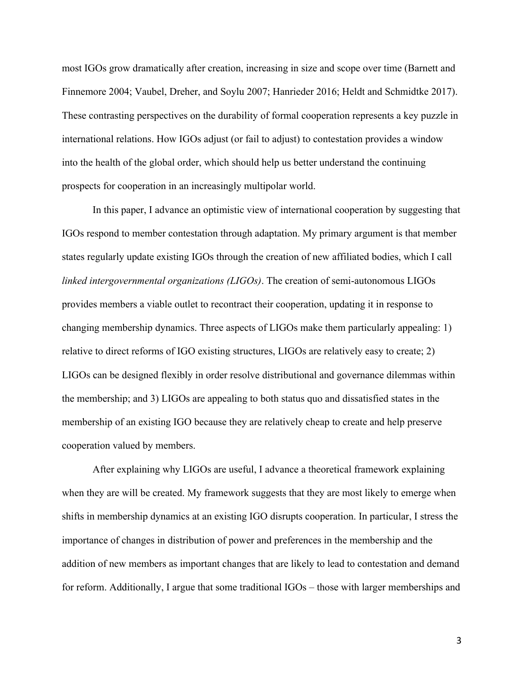most IGOs grow dramatically after creation, increasing in size and scope over time (Barnett and Finnemore 2004; Vaubel, Dreher, and Soylu 2007; Hanrieder 2016; Heldt and Schmidtke 2017). These contrasting perspectives on the durability of formal cooperation represents a key puzzle in international relations. How IGOs adjust (or fail to adjust) to contestation provides a window into the health of the global order, which should help us better understand the continuing prospects for cooperation in an increasingly multipolar world.

In this paper, I advance an optimistic view of international cooperation by suggesting that IGOs respond to member contestation through adaptation. My primary argument is that member states regularly update existing IGOs through the creation of new affiliated bodies, which I call *linked intergovernmental organizations (LIGOs)*. The creation of semi-autonomous LIGOs provides members a viable outlet to recontract their cooperation, updating it in response to changing membership dynamics. Three aspects of LIGOs make them particularly appealing: 1) relative to direct reforms of IGO existing structures, LIGOs are relatively easy to create; 2) LIGOs can be designed flexibly in order resolve distributional and governance dilemmas within the membership; and 3) LIGOs are appealing to both status quo and dissatisfied states in the membership of an existing IGO because they are relatively cheap to create and help preserve cooperation valued by members.

After explaining why LIGOs are useful, I advance a theoretical framework explaining when they are will be created. My framework suggests that they are most likely to emerge when shifts in membership dynamics at an existing IGO disrupts cooperation. In particular, I stress the importance of changes in distribution of power and preferences in the membership and the addition of new members as important changes that are likely to lead to contestation and demand for reform. Additionally, I argue that some traditional IGOs – those with larger memberships and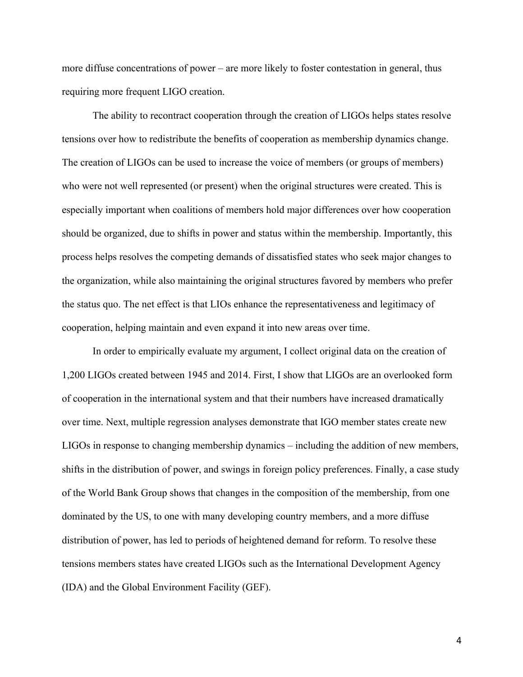more diffuse concentrations of power – are more likely to foster contestation in general, thus requiring more frequent LIGO creation.

The ability to recontract cooperation through the creation of LIGOs helps states resolve tensions over how to redistribute the benefits of cooperation as membership dynamics change. The creation of LIGOs can be used to increase the voice of members (or groups of members) who were not well represented (or present) when the original structures were created. This is especially important when coalitions of members hold major differences over how cooperation should be organized, due to shifts in power and status within the membership. Importantly, this process helps resolves the competing demands of dissatisfied states who seek major changes to the organization, while also maintaining the original structures favored by members who prefer the status quo. The net effect is that LIOs enhance the representativeness and legitimacy of cooperation, helping maintain and even expand it into new areas over time.

In order to empirically evaluate my argument, I collect original data on the creation of 1,200 LIGOs created between 1945 and 2014. First, I show that LIGOs are an overlooked form of cooperation in the international system and that their numbers have increased dramatically over time. Next, multiple regression analyses demonstrate that IGO member states create new LIGOs in response to changing membership dynamics – including the addition of new members, shifts in the distribution of power, and swings in foreign policy preferences. Finally, a case study of the World Bank Group shows that changes in the composition of the membership, from one dominated by the US, to one with many developing country members, and a more diffuse distribution of power, has led to periods of heightened demand for reform. To resolve these tensions members states have created LIGOs such as the International Development Agency (IDA) and the Global Environment Facility (GEF).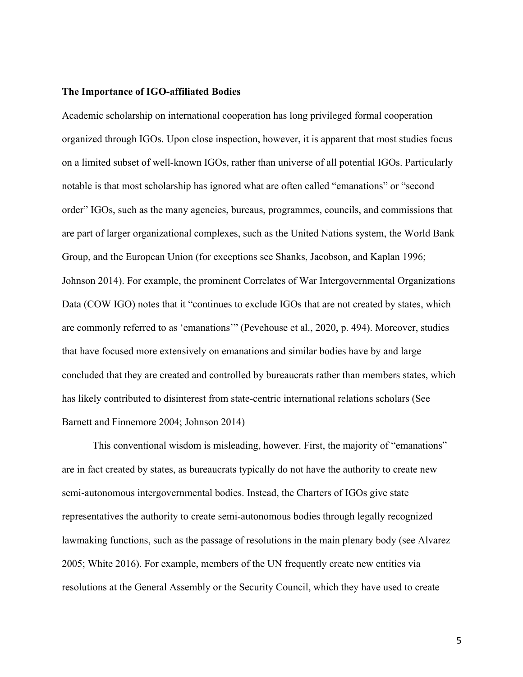### **The Importance of IGO-affiliated Bodies**

Academic scholarship on international cooperation has long privileged formal cooperation organized through IGOs. Upon close inspection, however, it is apparent that most studies focus on a limited subset of well-known IGOs, rather than universe of all potential IGOs. Particularly notable is that most scholarship has ignored what are often called "emanations" or "second order" IGOs, such as the many agencies, bureaus, programmes, councils, and commissions that are part of larger organizational complexes, such as the United Nations system, the World Bank Group, and the European Union (for exceptions see Shanks, Jacobson, and Kaplan 1996; Johnson 2014). For example, the prominent Correlates of War Intergovernmental Organizations Data (COW IGO) notes that it "continues to exclude IGOs that are not created by states, which are commonly referred to as 'emanations'" (Pevehouse et al., 2020, p. 494). Moreover, studies that have focused more extensively on emanations and similar bodies have by and large concluded that they are created and controlled by bureaucrats rather than members states, which has likely contributed to disinterest from state-centric international relations scholars (See Barnett and Finnemore 2004; Johnson 2014)

This conventional wisdom is misleading, however. First, the majority of "emanations" are in fact created by states, as bureaucrats typically do not have the authority to create new semi-autonomous intergovernmental bodies. Instead, the Charters of IGOs give state representatives the authority to create semi-autonomous bodies through legally recognized lawmaking functions, such as the passage of resolutions in the main plenary body (see Alvarez 2005; White 2016). For example, members of the UN frequently create new entities via resolutions at the General Assembly or the Security Council, which they have used to create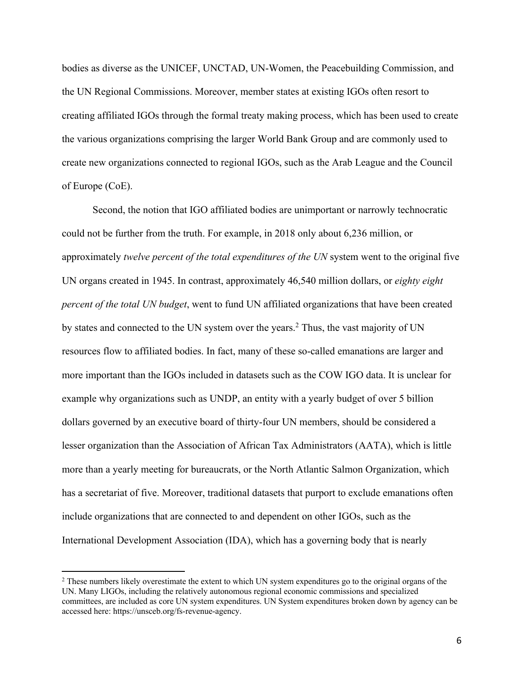bodies as diverse as the UNICEF, UNCTAD, UN-Women, the Peacebuilding Commission, and the UN Regional Commissions. Moreover, member states at existing IGOs often resort to creating affiliated IGOs through the formal treaty making process, which has been used to create the various organizations comprising the larger World Bank Group and are commonly used to create new organizations connected to regional IGOs, such as the Arab League and the Council of Europe (CoE).

Second, the notion that IGO affiliated bodies are unimportant or narrowly technocratic could not be further from the truth. For example, in 2018 only about 6,236 million, or approximately *twelve percent of the total expenditures of the UN* system went to the original five UN organs created in 1945. In contrast, approximately 46,540 million dollars, or *eighty eight percent of the total UN budget*, went to fund UN affiliated organizations that have been created by states and connected to the UN system over the years. <sup>2</sup> Thus, the vast majority of UN resources flow to affiliated bodies. In fact, many of these so-called emanations are larger and more important than the IGOs included in datasets such as the COW IGO data. It is unclear for example why organizations such as UNDP, an entity with a yearly budget of over 5 billion dollars governed by an executive board of thirty-four UN members, should be considered a lesser organization than the Association of African Tax Administrators (AATA), which is little more than a yearly meeting for bureaucrats, or the North Atlantic Salmon Organization, which has a secretariat of five. Moreover, traditional datasets that purport to exclude emanations often include organizations that are connected to and dependent on other IGOs, such as the International Development Association (IDA), which has a governing body that is nearly

<sup>&</sup>lt;sup>2</sup> These numbers likely overestimate the extent to which UN system expenditures go to the original organs of the UN. Many LIGOs, including the relatively autonomous regional economic commissions and specialized committees, are included as core UN system expenditures. UN System expenditures broken down by agency can be accessed here: https://unsceb.org/fs-revenue-agency.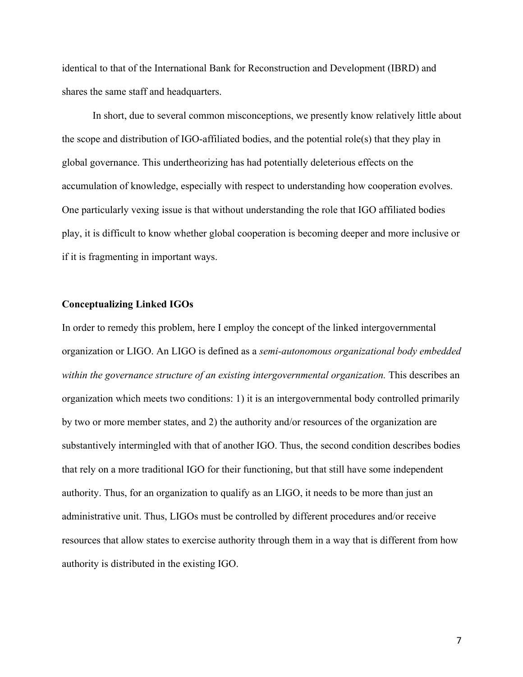identical to that of the International Bank for Reconstruction and Development (IBRD) and shares the same staff and headquarters.

In short, due to several common misconceptions, we presently know relatively little about the scope and distribution of IGO-affiliated bodies, and the potential role(s) that they play in global governance. This undertheorizing has had potentially deleterious effects on the accumulation of knowledge, especially with respect to understanding how cooperation evolves. One particularly vexing issue is that without understanding the role that IGO affiliated bodies play, it is difficult to know whether global cooperation is becoming deeper and more inclusive or if it is fragmenting in important ways.

### **Conceptualizing Linked IGOs**

In order to remedy this problem, here I employ the concept of the linked intergovernmental organization or LIGO. An LIGO is defined as a *semi-autonomous organizational body embedded within the governance structure of an existing intergovernmental organization.* This describes an organization which meets two conditions: 1) it is an intergovernmental body controlled primarily by two or more member states, and 2) the authority and/or resources of the organization are substantively intermingled with that of another IGO. Thus, the second condition describes bodies that rely on a more traditional IGO for their functioning, but that still have some independent authority. Thus, for an organization to qualify as an LIGO, it needs to be more than just an administrative unit. Thus, LIGOs must be controlled by different procedures and/or receive resources that allow states to exercise authority through them in a way that is different from how authority is distributed in the existing IGO.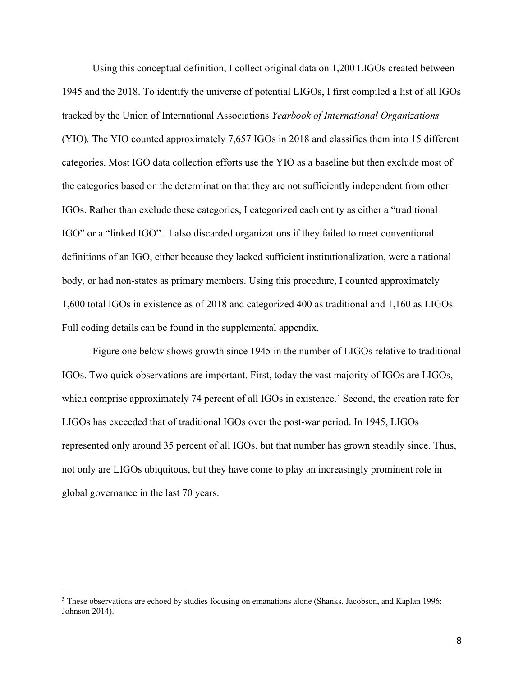Using this conceptual definition, I collect original data on 1,200 LIGOs created between 1945 and the 2018. To identify the universe of potential LIGOs, I first compiled a list of all IGOs tracked by the Union of International Associations *Yearbook of International Organizations*  (YIO)*.* The YIO counted approximately 7,657 IGOs in 2018 and classifies them into 15 different categories. Most IGO data collection efforts use the YIO as a baseline but then exclude most of the categories based on the determination that they are not sufficiently independent from other IGOs. Rather than exclude these categories, I categorized each entity as either a "traditional IGO" or a "linked IGO". I also discarded organizations if they failed to meet conventional definitions of an IGO, either because they lacked sufficient institutionalization, were a national body, or had non-states as primary members. Using this procedure, I counted approximately 1,600 total IGOs in existence as of 2018 and categorized 400 as traditional and 1,160 as LIGOs. Full coding details can be found in the supplemental appendix.

Figure one below shows growth since 1945 in the number of LIGOs relative to traditional IGOs. Two quick observations are important. First, today the vast majority of IGOs are LIGOs, which comprise approximately 74 percent of all IGOs in existence.<sup>3</sup> Second, the creation rate for LIGOs has exceeded that of traditional IGOs over the post-war period. In 1945, LIGOs represented only around 35 percent of all IGOs, but that number has grown steadily since. Thus, not only are LIGOs ubiquitous, but they have come to play an increasingly prominent role in global governance in the last 70 years.

<sup>&</sup>lt;sup>3</sup> These observations are echoed by studies focusing on emanations alone (Shanks, Jacobson, and Kaplan 1996; Johnson 2014).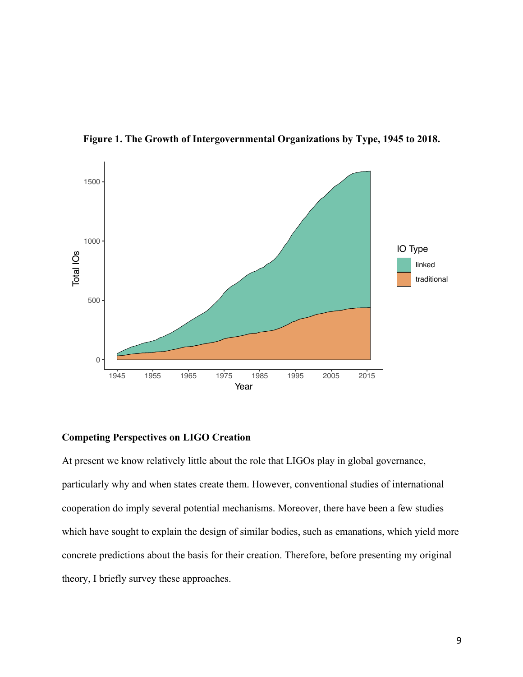

**Figure 1. The Growth of Intergovernmental Organizations by Type, 1945 to 2018.**

# **Competing Perspectives on LIGO Creation**

At present we know relatively little about the role that LIGOs play in global governance, particularly why and when states create them. However, conventional studies of international cooperation do imply several potential mechanisms. Moreover, there have been a few studies which have sought to explain the design of similar bodies, such as emanations, which yield more concrete predictions about the basis for their creation. Therefore, before presenting my original theory, I briefly survey these approaches.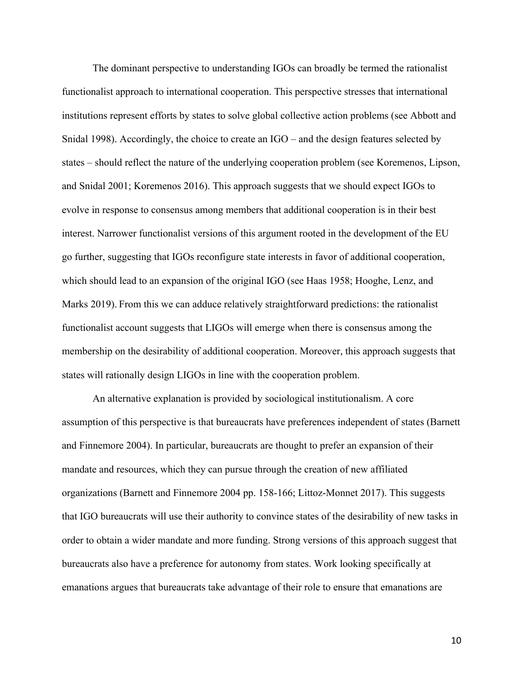The dominant perspective to understanding IGOs can broadly be termed the rationalist functionalist approach to international cooperation. This perspective stresses that international institutions represent efforts by states to solve global collective action problems (see Abbott and Snidal 1998). Accordingly, the choice to create an IGO – and the design features selected by states – should reflect the nature of the underlying cooperation problem (see Koremenos, Lipson, and Snidal 2001; Koremenos 2016). This approach suggests that we should expect IGOs to evolve in response to consensus among members that additional cooperation is in their best interest. Narrower functionalist versions of this argument rooted in the development of the EU go further, suggesting that IGOs reconfigure state interests in favor of additional cooperation, which should lead to an expansion of the original IGO (see Haas 1958; Hooghe, Lenz, and Marks 2019). From this we can adduce relatively straightforward predictions: the rationalist functionalist account suggests that LIGOs will emerge when there is consensus among the membership on the desirability of additional cooperation. Moreover, this approach suggests that states will rationally design LIGOs in line with the cooperation problem.

An alternative explanation is provided by sociological institutionalism. A core assumption of this perspective is that bureaucrats have preferences independent of states (Barnett and Finnemore 2004). In particular, bureaucrats are thought to prefer an expansion of their mandate and resources, which they can pursue through the creation of new affiliated organizations (Barnett and Finnemore 2004 pp. 158-166; Littoz-Monnet 2017). This suggests that IGO bureaucrats will use their authority to convince states of the desirability of new tasks in order to obtain a wider mandate and more funding. Strong versions of this approach suggest that bureaucrats also have a preference for autonomy from states. Work looking specifically at emanations argues that bureaucrats take advantage of their role to ensure that emanations are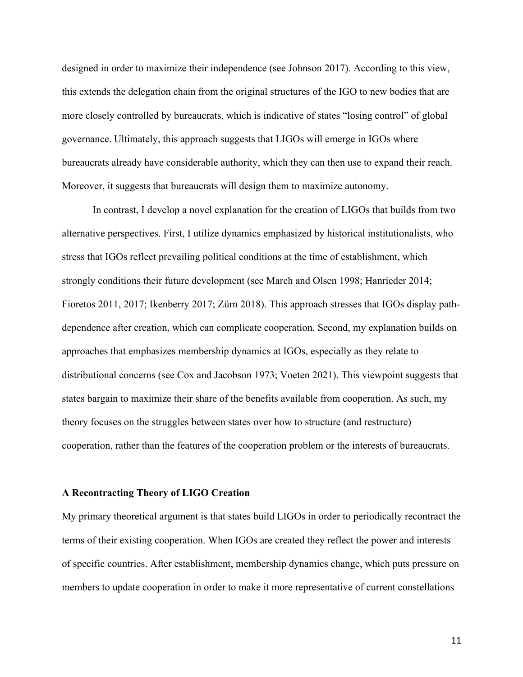designed in order to maximize their independence (see Johnson 2017). According to this view, this extends the delegation chain from the original structures of the IGO to new bodies that are more closely controlled by bureaucrats, which is indicative of states "losing control" of global governance. Ultimately, this approach suggests that LIGOs will emerge in IGOs where bureaucrats already have considerable authority, which they can then use to expand their reach. Moreover, it suggests that bureaucrats will design them to maximize autonomy.

In contrast, I develop a novel explanation for the creation of LIGOs that builds from two alternative perspectives. First, I utilize dynamics emphasized by historical institutionalists, who stress that IGOs reflect prevailing political conditions at the time of establishment, which strongly conditions their future development (see March and Olsen 1998; Hanrieder 2014; Fioretos 2011, 2017; Ikenberry 2017; Zürn 2018). This approach stresses that IGOs display pathdependence after creation, which can complicate cooperation. Second, my explanation builds on approaches that emphasizes membership dynamics at IGOs, especially as they relate to distributional concerns (see Cox and Jacobson 1973; Voeten 2021). This viewpoint suggests that states bargain to maximize their share of the benefits available from cooperation. As such, my theory focuses on the struggles between states over how to structure (and restructure) cooperation, rather than the features of the cooperation problem or the interests of bureaucrats.

## **A Recontracting Theory of LIGO Creation**

My primary theoretical argument is that states build LIGOs in order to periodically recontract the terms of their existing cooperation. When IGOs are created they reflect the power and interests of specific countries. After establishment, membership dynamics change, which puts pressure on members to update cooperation in order to make it more representative of current constellations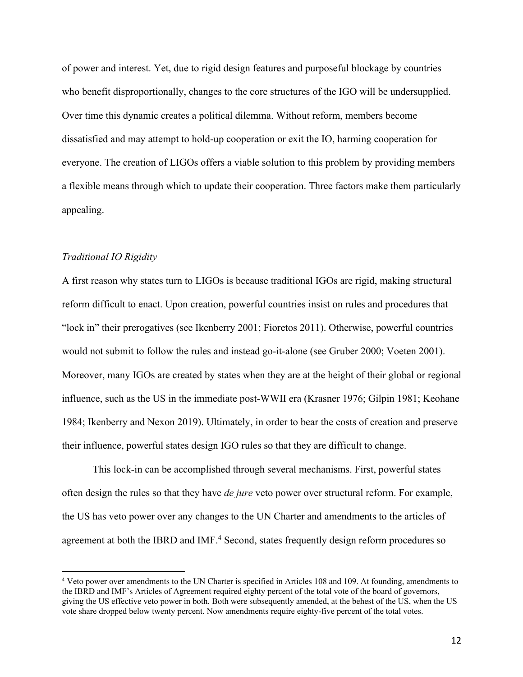of power and interest. Yet, due to rigid design features and purposeful blockage by countries who benefit disproportionally, changes to the core structures of the IGO will be undersupplied. Over time this dynamic creates a political dilemma. Without reform, members become dissatisfied and may attempt to hold-up cooperation or exit the IO, harming cooperation for everyone. The creation of LIGOs offers a viable solution to this problem by providing members a flexible means through which to update their cooperation. Three factors make them particularly appealing.

### *Traditional IO Rigidity*

A first reason why states turn to LIGOs is because traditional IGOs are rigid, making structural reform difficult to enact. Upon creation, powerful countries insist on rules and procedures that "lock in" their prerogatives (see Ikenberry 2001; Fioretos 2011). Otherwise, powerful countries would not submit to follow the rules and instead go-it-alone (see Gruber 2000; Voeten 2001). Moreover, many IGOs are created by states when they are at the height of their global or regional influence, such as the US in the immediate post-WWII era (Krasner 1976; Gilpin 1981; Keohane 1984; Ikenberry and Nexon 2019). Ultimately, in order to bear the costs of creation and preserve their influence, powerful states design IGO rules so that they are difficult to change.

This lock-in can be accomplished through several mechanisms. First, powerful states often design the rules so that they have *de jure* veto power over structural reform. For example, the US has veto power over any changes to the UN Charter and amendments to the articles of agreement at both the IBRD and IMF.<sup>4</sup> Second, states frequently design reform procedures so

<sup>4</sup> Veto power over amendments to the UN Charter is specified in Articles 108 and 109. At founding, amendments to the IBRD and IMF's Articles of Agreement required eighty percent of the total vote of the board of governors, giving the US effective veto power in both. Both were subsequently amended, at the behest of the US, when the US vote share dropped below twenty percent. Now amendments require eighty-five percent of the total votes.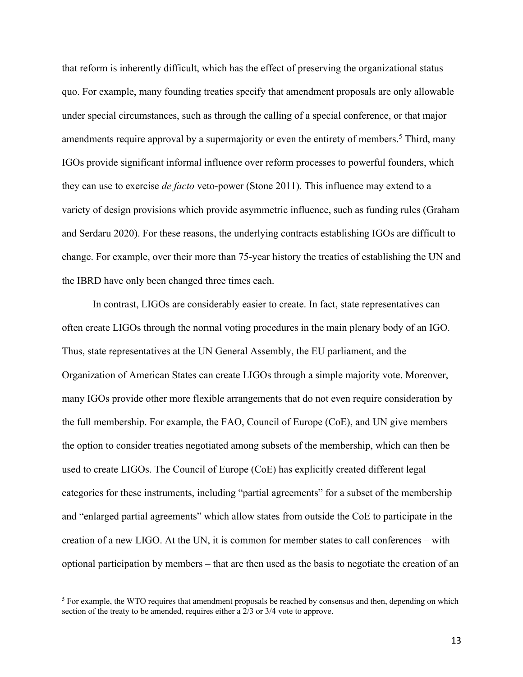that reform is inherently difficult, which has the effect of preserving the organizational status quo. For example, many founding treaties specify that amendment proposals are only allowable under special circumstances, such as through the calling of a special conference, or that major amendments require approval by a supermajority or even the entirety of members.<sup>5</sup> Third, many IGOs provide significant informal influence over reform processes to powerful founders, which they can use to exercise *de facto* veto-power (Stone 2011). This influence may extend to a variety of design provisions which provide asymmetric influence, such as funding rules (Graham and Serdaru 2020). For these reasons, the underlying contracts establishing IGOs are difficult to change. For example, over their more than 75-year history the treaties of establishing the UN and the IBRD have only been changed three times each.

In contrast, LIGOs are considerably easier to create. In fact, state representatives can often create LIGOs through the normal voting procedures in the main plenary body of an IGO. Thus, state representatives at the UN General Assembly, the EU parliament, and the Organization of American States can create LIGOs through a simple majority vote. Moreover, many IGOs provide other more flexible arrangements that do not even require consideration by the full membership. For example, the FAO, Council of Europe (CoE), and UN give members the option to consider treaties negotiated among subsets of the membership, which can then be used to create LIGOs. The Council of Europe (CoE) has explicitly created different legal categories for these instruments, including "partial agreements" for a subset of the membership and "enlarged partial agreements" which allow states from outside the CoE to participate in the creation of a new LIGO. At the UN, it is common for member states to call conferences – with optional participation by members – that are then used as the basis to negotiate the creation of an

<sup>&</sup>lt;sup>5</sup> For example, the WTO requires that amendment proposals be reached by consensus and then, depending on which section of the treaty to be amended, requires either a 2/3 or 3/4 vote to approve.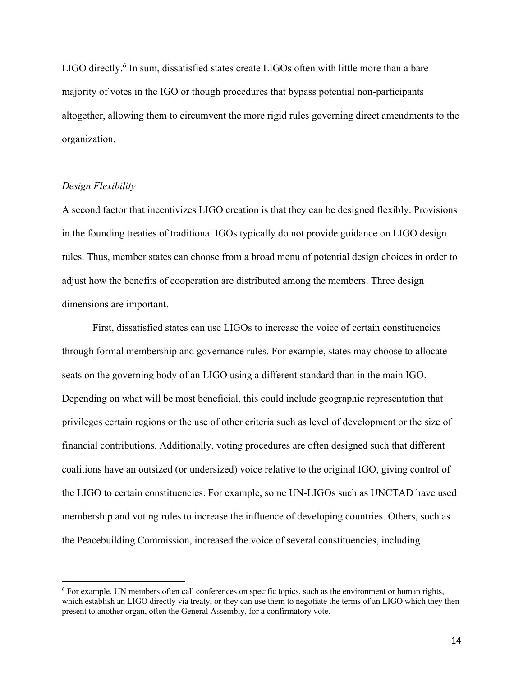LIGO directly.<sup>6</sup> In sum, dissatisfied states create LIGOs often with little more than a bare majority of votes in the IGO or though procedures that bypass potential non-participants altogether, allowing them to circumvent the more rigid rules governing direct amendments to the organization.

## *Design Flexibility*

A second factor that incentivizes LIGO creation is that they can be designed flexibly. Provisions in the founding treaties of traditional IGOs typically do not provide guidance on LIGO design rules. Thus, member states can choose from a broad menu of potential design choices in order to adjust how the benefits of cooperation are distributed among the members. Three design dimensions are important.

First, dissatisfied states can use LIGOs to increase the voice of certain constituencies through formal membership and governance rules. For example, states may choose to allocate seats on the governing body of an LIGO using a different standard than in the main IGO. Depending on what will be most beneficial, this could include geographic representation that privileges certain regions or the use of other criteria such as level of development or the size of financial contributions. Additionally, voting procedures are often designed such that different coalitions have an outsized (or undersized) voice relative to the original IGO, giving control of the LIGO to certain constituencies. For example, some UN-LIGOs such as UNCTAD have used membership and voting rules to increase the influence of developing countries. Others, such as the Peacebuilding Commission, increased the voice of several constituencies, including

<sup>6</sup> For example, UN members often call conferences on specific topics, such as the environment or human rights, which establish an LIGO directly via treaty, or they can use them to negotiate the terms of an LIGO which they then present to another organ, often the General Assembly, for a confirmatory vote.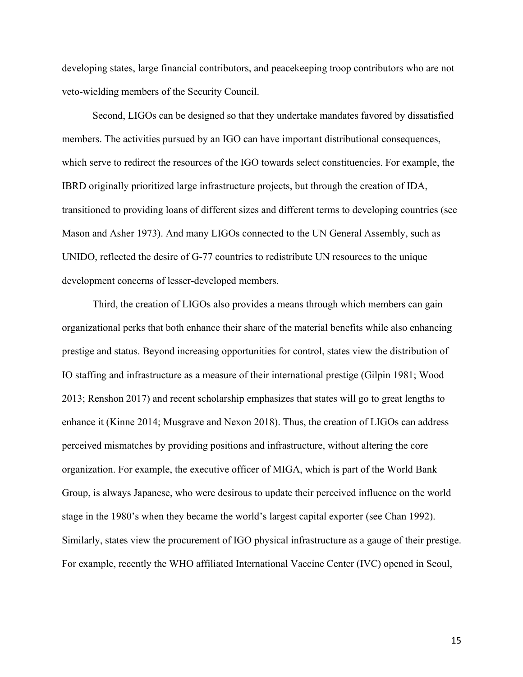developing states, large financial contributors, and peacekeeping troop contributors who are not veto-wielding members of the Security Council.

Second, LIGOs can be designed so that they undertake mandates favored by dissatisfied members. The activities pursued by an IGO can have important distributional consequences, which serve to redirect the resources of the IGO towards select constituencies. For example, the IBRD originally prioritized large infrastructure projects, but through the creation of IDA, transitioned to providing loans of different sizes and different terms to developing countries (see Mason and Asher 1973). And many LIGOs connected to the UN General Assembly, such as UNIDO, reflected the desire of G-77 countries to redistribute UN resources to the unique development concerns of lesser-developed members.

Third, the creation of LIGOs also provides a means through which members can gain organizational perks that both enhance their share of the material benefits while also enhancing prestige and status. Beyond increasing opportunities for control, states view the distribution of IO staffing and infrastructure as a measure of their international prestige (Gilpin 1981; Wood 2013; Renshon 2017) and recent scholarship emphasizes that states will go to great lengths to enhance it (Kinne 2014; Musgrave and Nexon 2018). Thus, the creation of LIGOs can address perceived mismatches by providing positions and infrastructure, without altering the core organization. For example, the executive officer of MIGA, which is part of the World Bank Group, is always Japanese, who were desirous to update their perceived influence on the world stage in the 1980's when they became the world's largest capital exporter (see Chan 1992). Similarly, states view the procurement of IGO physical infrastructure as a gauge of their prestige. For example, recently the WHO affiliated International Vaccine Center (IVC) opened in Seoul,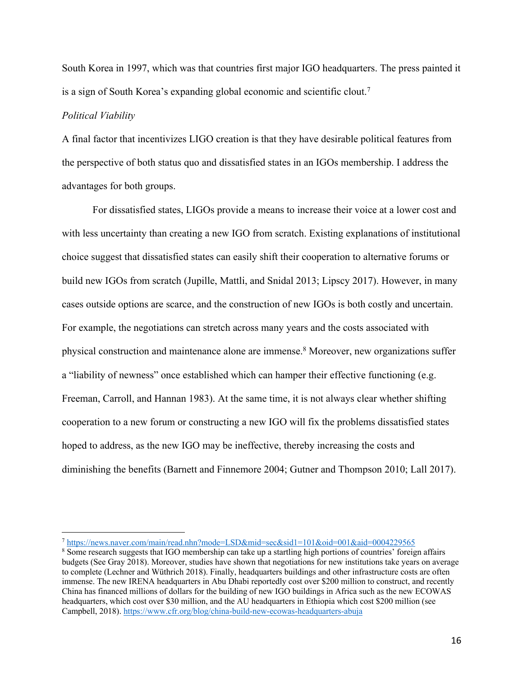South Korea in 1997, which was that countries first major IGO headquarters. The press painted it is a sign of South Korea's expanding global economic and scientific clout.7

## *Political Viability*

A final factor that incentivizes LIGO creation is that they have desirable political features from the perspective of both status quo and dissatisfied states in an IGOs membership. I address the advantages for both groups.

For dissatisfied states, LIGOs provide a means to increase their voice at a lower cost and with less uncertainty than creating a new IGO from scratch. Existing explanations of institutional choice suggest that dissatisfied states can easily shift their cooperation to alternative forums or build new IGOs from scratch (Jupille, Mattli, and Snidal 2013; Lipscy 2017). However, in many cases outside options are scarce, and the construction of new IGOs is both costly and uncertain. For example, the negotiations can stretch across many years and the costs associated with physical construction and maintenance alone are immense.8 Moreover, new organizations suffer a "liability of newness" once established which can hamper their effective functioning (e.g. Freeman, Carroll, and Hannan 1983). At the same time, it is not always clear whether shifting cooperation to a new forum or constructing a new IGO will fix the problems dissatisfied states hoped to address, as the new IGO may be ineffective, thereby increasing the costs and diminishing the benefits (Barnett and Finnemore 2004; Gutner and Thompson 2010; Lall 2017).

<sup>7</sup> https://news.naver.com/main/read.nhn?mode=LSD&mid=sec&sid1=101&oid=001&aid=0004229565

<sup>8</sup> Some research suggests that IGO membership can take up a startling high portions of countries' foreign affairs budgets (See Gray 2018). Moreover, studies have shown that negotiations for new institutions take years on average to complete (Lechner and Wüthrich 2018). Finally, headquarters buildings and other infrastructure costs are often immense. The new IRENA headquarters in Abu Dhabi reportedly cost over \$200 million to construct, and recently China has financed millions of dollars for the building of new IGO buildings in Africa such as the new ECOWAS headquarters, which cost over \$30 million, and the AU headquarters in Ethiopia which cost \$200 million (see Campbell, 2018). https://www.cfr.org/blog/china-build-new-ecowas-headquarters-abuja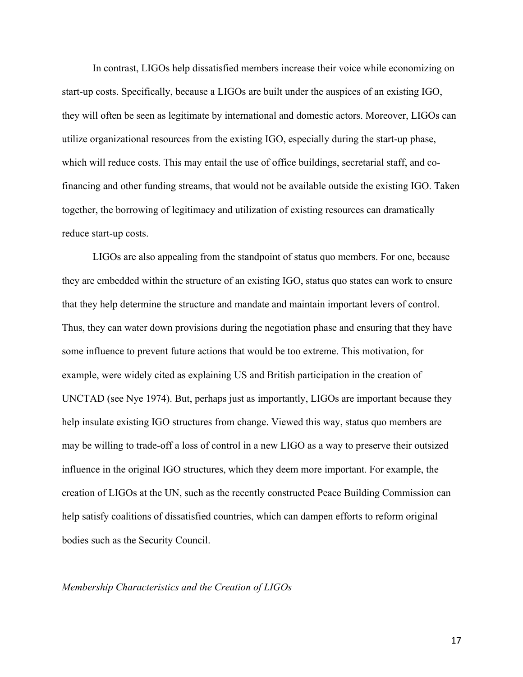In contrast, LIGOs help dissatisfied members increase their voice while economizing on start-up costs. Specifically, because a LIGOs are built under the auspices of an existing IGO, they will often be seen as legitimate by international and domestic actors. Moreover, LIGOs can utilize organizational resources from the existing IGO, especially during the start-up phase, which will reduce costs. This may entail the use of office buildings, secretarial staff, and cofinancing and other funding streams, that would not be available outside the existing IGO. Taken together, the borrowing of legitimacy and utilization of existing resources can dramatically reduce start-up costs.

LIGOs are also appealing from the standpoint of status quo members. For one, because they are embedded within the structure of an existing IGO, status quo states can work to ensure that they help determine the structure and mandate and maintain important levers of control. Thus, they can water down provisions during the negotiation phase and ensuring that they have some influence to prevent future actions that would be too extreme. This motivation, for example, were widely cited as explaining US and British participation in the creation of UNCTAD (see Nye 1974). But, perhaps just as importantly, LIGOs are important because they help insulate existing IGO structures from change. Viewed this way, status quo members are may be willing to trade-off a loss of control in a new LIGO as a way to preserve their outsized influence in the original IGO structures, which they deem more important. For example, the creation of LIGOs at the UN, such as the recently constructed Peace Building Commission can help satisfy coalitions of dissatisfied countries, which can dampen efforts to reform original bodies such as the Security Council.

## *Membership Characteristics and the Creation of LIGOs*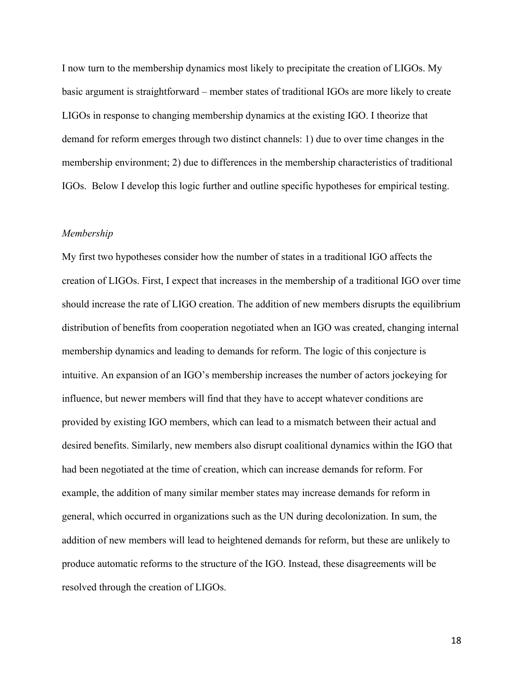I now turn to the membership dynamics most likely to precipitate the creation of LIGOs. My basic argument is straightforward – member states of traditional IGOs are more likely to create LIGOs in response to changing membership dynamics at the existing IGO. I theorize that demand for reform emerges through two distinct channels: 1) due to over time changes in the membership environment; 2) due to differences in the membership characteristics of traditional IGOs. Below I develop this logic further and outline specific hypotheses for empirical testing.

### *Membership*

My first two hypotheses consider how the number of states in a traditional IGO affects the creation of LIGOs. First, I expect that increases in the membership of a traditional IGO over time should increase the rate of LIGO creation. The addition of new members disrupts the equilibrium distribution of benefits from cooperation negotiated when an IGO was created, changing internal membership dynamics and leading to demands for reform. The logic of this conjecture is intuitive. An expansion of an IGO's membership increases the number of actors jockeying for influence, but newer members will find that they have to accept whatever conditions are provided by existing IGO members, which can lead to a mismatch between their actual and desired benefits. Similarly, new members also disrupt coalitional dynamics within the IGO that had been negotiated at the time of creation, which can increase demands for reform. For example, the addition of many similar member states may increase demands for reform in general, which occurred in organizations such as the UN during decolonization. In sum, the addition of new members will lead to heightened demands for reform, but these are unlikely to produce automatic reforms to the structure of the IGO. Instead, these disagreements will be resolved through the creation of LIGOs.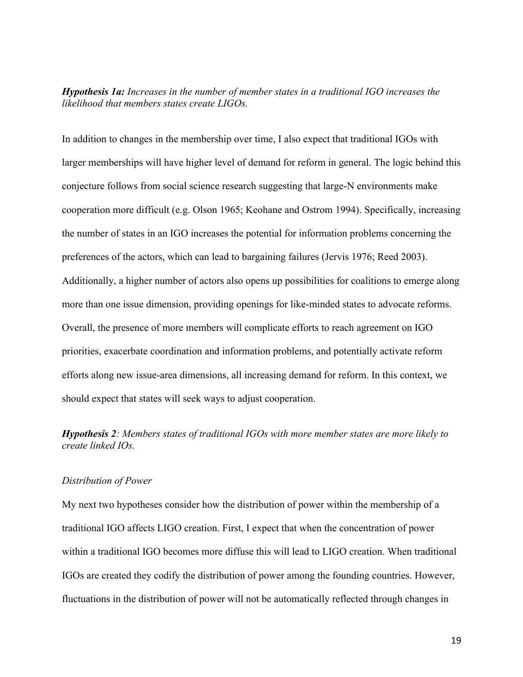*Hypothesis 1a: Increases in the number of member states in a traditional IGO increases the likelihood that members states create LIGOs.*

In addition to changes in the membership over time, I also expect that traditional IGOs with larger memberships will have higher level of demand for reform in general. The logic behind this conjecture follows from social science research suggesting that large-N environments make cooperation more difficult (e.g. Olson 1965; Keohane and Ostrom 1994). Specifically, increasing the number of states in an IGO increases the potential for information problems concerning the preferences of the actors, which can lead to bargaining failures (Jervis 1976; Reed 2003). Additionally, a higher number of actors also opens up possibilities for coalitions to emerge along more than one issue dimension, providing openings for like-minded states to advocate reforms. Overall, the presence of more members will complicate efforts to reach agreement on IGO priorities, exacerbate coordination and information problems, and potentially activate reform efforts along new issue-area dimensions, all increasing demand for reform. In this context, we should expect that states will seek ways to adjust cooperation.

*Hypothesis 2: Members states of traditional IGOs with more member states are more likely to create linked IOs.*

## *Distribution of Power*

My next two hypotheses consider how the distribution of power within the membership of a traditional IGO affects LIGO creation. First, I expect that when the concentration of power within a traditional IGO becomes more diffuse this will lead to LIGO creation. When traditional IGOs are created they codify the distribution of power among the founding countries. However, fluctuations in the distribution of power will not be automatically reflected through changes in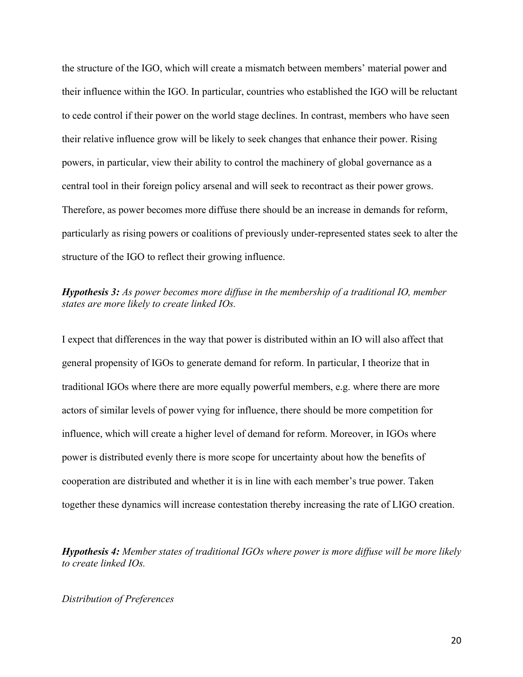the structure of the IGO, which will create a mismatch between members' material power and their influence within the IGO. In particular, countries who established the IGO will be reluctant to cede control if their power on the world stage declines. In contrast, members who have seen their relative influence grow will be likely to seek changes that enhance their power. Rising powers, in particular, view their ability to control the machinery of global governance as a central tool in their foreign policy arsenal and will seek to recontract as their power grows. Therefore, as power becomes more diffuse there should be an increase in demands for reform, particularly as rising powers or coalitions of previously under-represented states seek to alter the structure of the IGO to reflect their growing influence.

# *Hypothesis 3: As power becomes more diffuse in the membership of a traditional IO, member states are more likely to create linked IOs.*

I expect that differences in the way that power is distributed within an IO will also affect that general propensity of IGOs to generate demand for reform. In particular, I theorize that in traditional IGOs where there are more equally powerful members, e.g. where there are more actors of similar levels of power vying for influence, there should be more competition for influence, which will create a higher level of demand for reform. Moreover, in IGOs where power is distributed evenly there is more scope for uncertainty about how the benefits of cooperation are distributed and whether it is in line with each member's true power. Taken together these dynamics will increase contestation thereby increasing the rate of LIGO creation.

*Hypothesis 4: Member states of traditional IGOs where power is more diffuse will be more likely to create linked IOs.* 

## *Distribution of Preferences*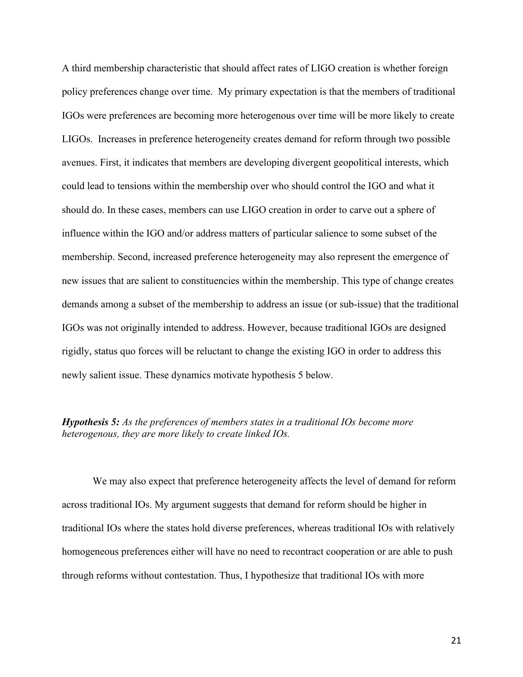A third membership characteristic that should affect rates of LIGO creation is whether foreign policy preferences change over time. My primary expectation is that the members of traditional IGOs were preferences are becoming more heterogenous over time will be more likely to create LIGOs. Increases in preference heterogeneity creates demand for reform through two possible avenues. First, it indicates that members are developing divergent geopolitical interests, which could lead to tensions within the membership over who should control the IGO and what it should do. In these cases, members can use LIGO creation in order to carve out a sphere of influence within the IGO and/or address matters of particular salience to some subset of the membership. Second, increased preference heterogeneity may also represent the emergence of new issues that are salient to constituencies within the membership. This type of change creates demands among a subset of the membership to address an issue (or sub-issue) that the traditional IGOs was not originally intended to address. However, because traditional IGOs are designed rigidly, status quo forces will be reluctant to change the existing IGO in order to address this newly salient issue. These dynamics motivate hypothesis 5 below.

# *Hypothesis 5: As the preferences of members states in a traditional IOs become more heterogenous, they are more likely to create linked IOs.*

We may also expect that preference heterogeneity affects the level of demand for reform across traditional IOs. My argument suggests that demand for reform should be higher in traditional IOs where the states hold diverse preferences, whereas traditional IOs with relatively homogeneous preferences either will have no need to recontract cooperation or are able to push through reforms without contestation. Thus, I hypothesize that traditional IOs with more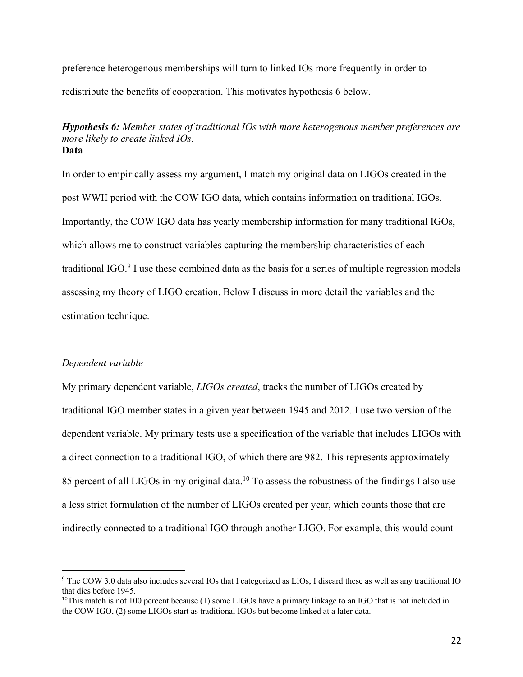preference heterogenous memberships will turn to linked IOs more frequently in order to redistribute the benefits of cooperation. This motivates hypothesis 6 below.

*Hypothesis 6: Member states of traditional IOs with more heterogenous member preferences are more likely to create linked IOs.* **Data**

In order to empirically assess my argument, I match my original data on LIGOs created in the post WWII period with the COW IGO data, which contains information on traditional IGOs. Importantly, the COW IGO data has yearly membership information for many traditional IGOs, which allows me to construct variables capturing the membership characteristics of each traditional IGO.<sup>9</sup> I use these combined data as the basis for a series of multiple regression models assessing my theory of LIGO creation. Below I discuss in more detail the variables and the estimation technique.

### *Dependent variable*

My primary dependent variable, *LIGOs created*, tracks the number of LIGOs created by traditional IGO member states in a given year between 1945 and 2012. I use two version of the dependent variable. My primary tests use a specification of the variable that includes LIGOs with a direct connection to a traditional IGO, of which there are 982. This represents approximately 85 percent of all LIGOs in my original data.<sup>10</sup> To assess the robustness of the findings I also use a less strict formulation of the number of LIGOs created per year, which counts those that are indirectly connected to a traditional IGO through another LIGO. For example, this would count

<sup>&</sup>lt;sup>9</sup> The COW 3.0 data also includes several IOs that I categorized as LIOs; I discard these as well as any traditional IO that dies before 1945.

<sup>&</sup>lt;sup>10</sup>This match is not 100 percent because (1) some LIGOs have a primary linkage to an IGO that is not included in the COW IGO, (2) some LIGOs start as traditional IGOs but become linked at a later data.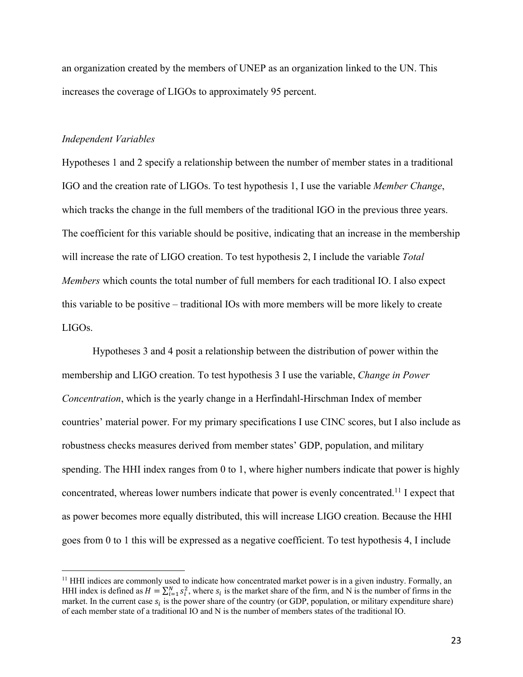an organization created by the members of UNEP as an organization linked to the UN. This increases the coverage of LIGOs to approximately 95 percent.

## *Independent Variables*

Hypotheses 1 and 2 specify a relationship between the number of member states in a traditional IGO and the creation rate of LIGOs. To test hypothesis 1, I use the variable *Member Change*, which tracks the change in the full members of the traditional IGO in the previous three years. The coefficient for this variable should be positive, indicating that an increase in the membership will increase the rate of LIGO creation. To test hypothesis 2, I include the variable *Total Members* which counts the total number of full members for each traditional IO. I also expect this variable to be positive – traditional IOs with more members will be more likely to create LIGOs.

Hypotheses 3 and 4 posit a relationship between the distribution of power within the membership and LIGO creation. To test hypothesis 3 I use the variable, *Change in Power Concentration*, which is the yearly change in a Herfindahl-Hirschman Index of member countries' material power. For my primary specifications I use CINC scores, but I also include as robustness checks measures derived from member states' GDP, population, and military spending. The HHI index ranges from 0 to 1, where higher numbers indicate that power is highly concentrated, whereas lower numbers indicate that power is evenly concentrated.11 I expect that as power becomes more equally distributed, this will increase LIGO creation. Because the HHI goes from 0 to 1 this will be expressed as a negative coefficient. To test hypothesis 4, I include

<sup>&</sup>lt;sup>11</sup> HHI indices are commonly used to indicate how concentrated market power is in a given industry. Formally, an HHI index is defined as  $H = \sum_{i=1}^{N} s_i^2$ , where  $s_i$  is the market share of the firm, and N is the number of firms in the market. In the current case  $s_i$  is the power share of the country (or GDP, population, or military expenditure share) of each member state of a traditional IO and N is the number of members states of the traditional IO.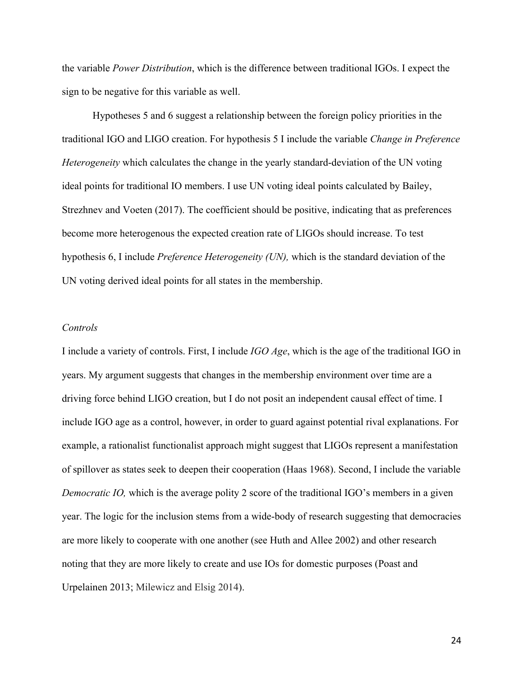the variable *Power Distribution*, which is the difference between traditional IGOs. I expect the sign to be negative for this variable as well.

Hypotheses 5 and 6 suggest a relationship between the foreign policy priorities in the traditional IGO and LIGO creation. For hypothesis 5 I include the variable *Change in Preference Heterogeneity* which calculates the change in the yearly standard-deviation of the UN voting ideal points for traditional IO members. I use UN voting ideal points calculated by Bailey, Strezhnev and Voeten (2017). The coefficient should be positive, indicating that as preferences become more heterogenous the expected creation rate of LIGOs should increase. To test hypothesis 6, I include *Preference Heterogeneity (UN),* which is the standard deviation of the UN voting derived ideal points for all states in the membership.

## *Controls*

I include a variety of controls. First, I include *IGO Age*, which is the age of the traditional IGO in years. My argument suggests that changes in the membership environment over time are a driving force behind LIGO creation, but I do not posit an independent causal effect of time. I include IGO age as a control, however, in order to guard against potential rival explanations. For example, a rationalist functionalist approach might suggest that LIGOs represent a manifestation of spillover as states seek to deepen their cooperation (Haas 1968). Second, I include the variable *Democratic IO*, which is the average polity 2 score of the traditional IGO's members in a given year. The logic for the inclusion stems from a wide-body of research suggesting that democracies are more likely to cooperate with one another (see Huth and Allee 2002) and other research noting that they are more likely to create and use IOs for domestic purposes (Poast and Urpelainen 2013; Milewicz and Elsig 2014).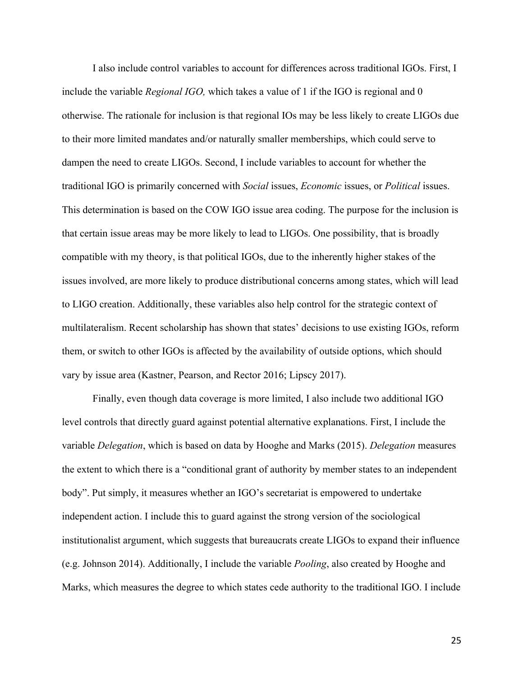I also include control variables to account for differences across traditional IGOs. First, I include the variable *Regional IGO,* which takes a value of 1 if the IGO is regional and 0 otherwise. The rationale for inclusion is that regional IOs may be less likely to create LIGOs due to their more limited mandates and/or naturally smaller memberships, which could serve to dampen the need to create LIGOs. Second, I include variables to account for whether the traditional IGO is primarily concerned with *Social* issues, *Economic* issues, or *Political* issues. This determination is based on the COW IGO issue area coding. The purpose for the inclusion is that certain issue areas may be more likely to lead to LIGOs. One possibility, that is broadly compatible with my theory, is that political IGOs, due to the inherently higher stakes of the issues involved, are more likely to produce distributional concerns among states, which will lead to LIGO creation. Additionally, these variables also help control for the strategic context of multilateralism. Recent scholarship has shown that states' decisions to use existing IGOs, reform them, or switch to other IGOs is affected by the availability of outside options, which should vary by issue area (Kastner, Pearson, and Rector 2016; Lipscy 2017).

Finally, even though data coverage is more limited, I also include two additional IGO level controls that directly guard against potential alternative explanations. First, I include the variable *Delegation*, which is based on data by Hooghe and Marks (2015). *Delegation* measures the extent to which there is a "conditional grant of authority by member states to an independent body". Put simply, it measures whether an IGO's secretariat is empowered to undertake independent action. I include this to guard against the strong version of the sociological institutionalist argument, which suggests that bureaucrats create LIGOs to expand their influence (e.g. Johnson 2014). Additionally, I include the variable *Pooling*, also created by Hooghe and Marks, which measures the degree to which states cede authority to the traditional IGO. I include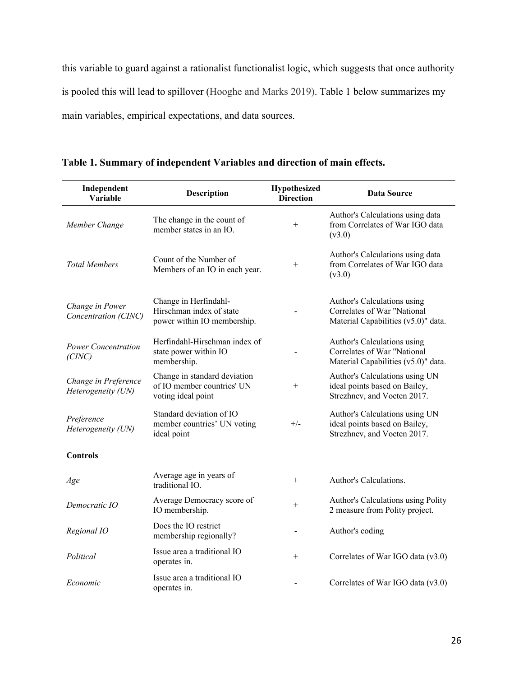this variable to guard against a rationalist functionalist logic, which suggests that once authority is pooled this will lead to spillover (Hooghe and Marks 2019). Table 1 below summarizes my main variables, empirical expectations, and data sources.

| Independent<br>Variable                    | <b>Description</b>                                                               | Hypothesized<br><b>Direction</b> | <b>Data Source</b>                                                                                |
|--------------------------------------------|----------------------------------------------------------------------------------|----------------------------------|---------------------------------------------------------------------------------------------------|
| Member Change                              | The change in the count of<br>member states in an IO.                            | $^{+}$                           | Author's Calculations using data<br>from Correlates of War IGO data<br>(v3.0)                     |
| <b>Total Members</b>                       | Count of the Number of<br>Members of an IO in each year.                         | $^{+}$                           | Author's Calculations using data<br>from Correlates of War IGO data<br>(v3.0)                     |
| Change in Power<br>Concentration (CINC)    | Change in Herfindahl-<br>Hirschman index of state<br>power within IO membership. |                                  | Author's Calculations using<br>Correlates of War "National<br>Material Capabilities (v5.0)" data. |
| <b>Power Concentration</b><br>(CINC)       | Herfindahl-Hirschman index of<br>state power within IO<br>membership.            |                                  | Author's Calculations using<br>Correlates of War "National<br>Material Capabilities (v5.0)" data. |
| Change in Preference<br>Heterogeneity (UN) | Change in standard deviation<br>of IO member countries' UN<br>voting ideal point | $^{+}$                           | Author's Calculations using UN<br>ideal points based on Bailey,<br>Strezhnev, and Voeten 2017.    |
| Preference<br>Heterogeneity (UN)           | Standard deviation of IO<br>member countries' UN voting<br>ideal point           | $+/-$                            | Author's Calculations using UN<br>ideal points based on Bailey,<br>Strezhnev, and Voeten 2017.    |
| <b>Controls</b>                            |                                                                                  |                                  |                                                                                                   |
| Age                                        | Average age in years of<br>traditional IO.                                       | $^{+}$                           | Author's Calculations.                                                                            |
| Democratic IO                              | Average Democracy score of<br>IO membership.                                     | $^{+}$                           | Author's Calculations using Polity<br>2 measure from Polity project.                              |
| Regional IO                                | Does the IO restrict<br>membership regionally?                                   |                                  | Author's coding                                                                                   |
| Political                                  | Issue area a traditional IO<br>operates in.                                      | $+$                              | Correlates of War IGO data (v3.0)                                                                 |
| Economic                                   | Issue area a traditional IO<br>operates in.                                      |                                  | Correlates of War IGO data (v3.0)                                                                 |

**Table 1. Summary of independent Variables and direction of main effects.**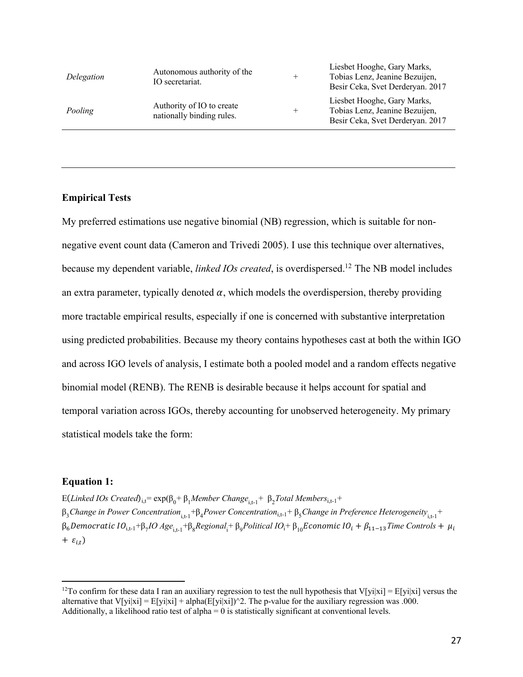| Delegation | Autonomous authority of the<br>IO secretariat.         | $^{+}$ | Liesbet Hooghe, Gary Marks,<br>Tobias Lenz, Jeanine Bezuijen,<br>Besir Ceka, Svet Derderyan. 2017 |
|------------|--------------------------------------------------------|--------|---------------------------------------------------------------------------------------------------|
| Pooling    | Authority of IO to create<br>nationally binding rules. | $^{+}$ | Liesbet Hooghe, Gary Marks,<br>Tobias Lenz, Jeanine Bezuijen,<br>Besir Ceka, Svet Derderyan. 2017 |

# **Empirical Tests**

My preferred estimations use negative binomial (NB) regression, which is suitable for nonnegative event count data (Cameron and Trivedi 2005). I use this technique over alternatives, because my dependent variable, *linked IOs created*, is overdispersed.12 The NB model includes an extra parameter, typically denoted  $\alpha$ , which models the overdispersion, thereby providing more tractable empirical results, especially if one is concerned with substantive interpretation using predicted probabilities. Because my theory contains hypotheses cast at both the within IGO and across IGO levels of analysis, I estimate both a pooled model and a random effects negative binomial model (RENB). The RENB is desirable because it helps account for spatial and temporal variation across IGOs, thereby accounting for unobserved heterogeneity. My primary statistical models take the form:

### **Equation 1:**

E(*Linked IOs Created*)<sub>i,t</sub>=  $exp(β₀ + β₁Member Change<sub>i,t-1</sub> + β₂Total Members<sub>i,t-1</sub> +$  $β_3$ *Change in Power Concentration*<sub>i,t-1</sub>+β<sub>4</sub>*Power Concentration*<sub>i,t-1</sub>+β<sub>5</sub>*Change in Preference Heterogeneity*<sub>i,t-1</sub>+  $β_6$ Democratic IO<sub>i,t-1</sub>+β<sub>7</sub>IO Age<sub>i,t-1</sub>+β<sub>8</sub>Regional<sub>i</sub>+ β<sub>9</sub>Political IO<sub>i</sub>+ β<sub>10</sub>Economic IO<sub>i</sub> + β<sub>11–13</sub>Time Controls +  $μ$ <sub>i</sub> +  $\varepsilon_{i,t}$ )

<sup>&</sup>lt;sup>12</sup>To confirm for these data I ran an auxiliary regression to test the null hypothesis that V[yi|xi] = E[yi|xi] versus the alternative that V[yi|xi] =  $E[y|x|] + alpha(E[y|x|)]^2$ . The p-value for the auxiliary regression was .000. Additionally, a likelihood ratio test of alpha  $= 0$  is statistically significant at conventional levels.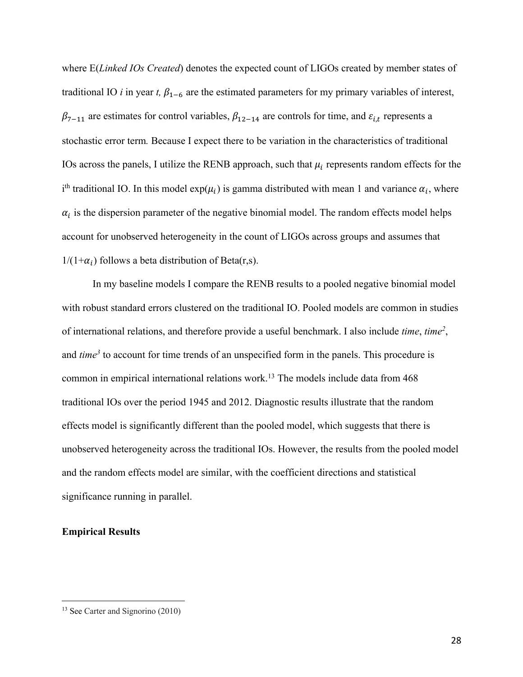where E(*Linked IOs Created*) denotes the expected count of LIGOs created by member states of traditional IO *i* in year *t*,  $\beta_{1-6}$  are the estimated parameters for my primary variables of interest,  $\beta_{7-11}$  are estimates for control variables,  $\beta_{12-14}$  are controls for time, and  $\varepsilon_{i,t}$  represents a stochastic error term*.* Because I expect there to be variation in the characteristics of traditional IOs across the panels, I utilize the RENB approach, such that  $\mu_i$  represents random effects for the i<sup>th</sup> traditional IO. In this model  $exp(\mu_i)$  is gamma distributed with mean 1 and variance  $\alpha_i$ , where  $\alpha_i$  is the dispersion parameter of the negative binomial model. The random effects model helps account for unobserved heterogeneity in the count of LIGOs across groups and assumes that  $1/(1+\alpha_i)$  follows a beta distribution of Beta(r,s).

In my baseline models I compare the RENB results to a pooled negative binomial model with robust standard errors clustered on the traditional IO. Pooled models are common in studies of international relations, and therefore provide a useful benchmark. I also include *time*, *time2* , and *time<sup>3</sup>* to account for time trends of an unspecified form in the panels. This procedure is common in empirical international relations work.<sup>13</sup> The models include data from 468 traditional IOs over the period 1945 and 2012. Diagnostic results illustrate that the random effects model is significantly different than the pooled model, which suggests that there is unobserved heterogeneity across the traditional IOs. However, the results from the pooled model and the random effects model are similar, with the coefficient directions and statistical significance running in parallel.

# **Empirical Results**

<sup>&</sup>lt;sup>13</sup> See Carter and Signorino (2010)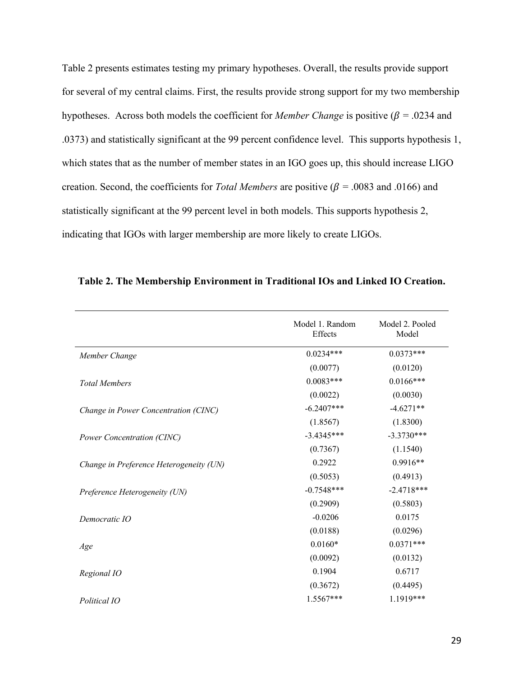Table 2 presents estimates testing my primary hypotheses. Overall, the results provide support for several of my central claims. First, the results provide strong support for my two membership hypotheses. Across both models the coefficient for *Member Change* is positive ( $\beta$  = .0234 and .0373) and statistically significant at the 99 percent confidence level. This supports hypothesis 1, which states that as the number of member states in an IGO goes up, this should increase LIGO creation. Second, the coefficients for *Total Members* are positive ( $\beta$  = .0083 and .0166) and statistically significant at the 99 percent level in both models. This supports hypothesis 2, indicating that IGOs with larger membership are more likely to create LIGOs.

|                                         | Model 1. Random<br>Effects | Model 2. Pooled<br>Model |
|-----------------------------------------|----------------------------|--------------------------|
| Member Change                           | $0.0234***$                | $0.0373***$              |
|                                         | (0.0077)                   | (0.0120)                 |
| <b>Total Members</b>                    | $0.0083***$                | $0.0166***$              |
|                                         | (0.0022)                   | (0.0030)                 |
| Change in Power Concentration (CINC)    | $-6.2407***$               | $-4.6271**$              |
|                                         | (1.8567)                   | (1.8300)                 |
| Power Concentration (CINC)              | $-3.4345***$               | $-3.3730***$             |
|                                         | (0.7367)                   | (1.1540)                 |
| Change in Preference Heterogeneity (UN) | 0.2922                     | $0.9916**$               |
|                                         | (0.5053)                   | (0.4913)                 |
| Preference Heterogeneity (UN)           | $-0.7548***$               | $-2.4718***$             |
|                                         | (0.2909)                   | (0.5803)                 |
| Democratic IO                           | $-0.0206$                  | 0.0175                   |
|                                         | (0.0188)                   | (0.0296)                 |
| Age                                     | $0.0160*$                  | $0.0371***$              |
|                                         | (0.0092)                   | (0.0132)                 |
| Regional IO                             | 0.1904                     | 0.6717                   |
|                                         | (0.3672)                   | (0.4495)                 |
| Political IO                            | $1.5567***$                | 1.1919***                |

**Table 2. The Membership Environment in Traditional IOs and Linked IO Creation.**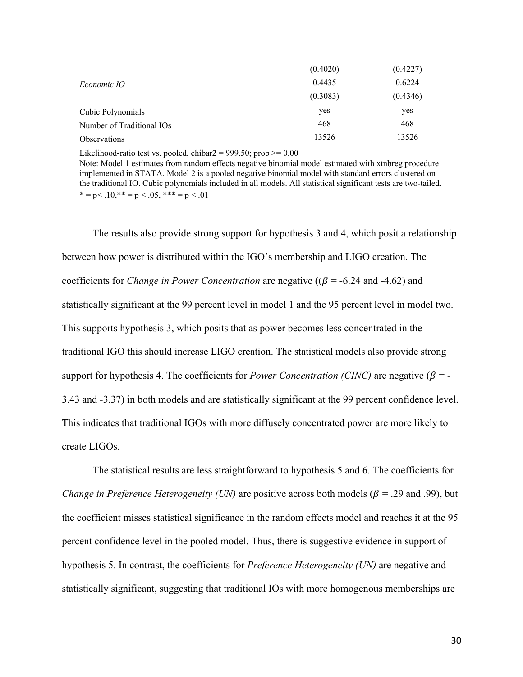|                           | (0.4020) | (0.4227) |
|---------------------------|----------|----------|
| <i>Economic IO</i>        | 0.4435   | 0.6224   |
|                           | (0.3083) | (0.4346) |
| Cubic Polynomials         | yes      | yes      |
| Number of Traditional IOs | 468      | 468      |
| <b>Observations</b>       | 13526    | 13526    |

Likelihood-ratio test vs. pooled, chibar $2 = 999.50$ ; prob  $\ge 0.00$ 

Note: Model 1 estimates from random effects negative binomial model estimated with xtnbreg procedure implemented in STATA. Model 2 is a pooled negative binomial model with standard errors clustered on the traditional IO. Cubic polynomials included in all models. All statistical significant tests are two-tailed.  $* = p < 0.10$ ,  $* = p < 0.05$ ,  $* * * = p < 0.01$ 

The results also provide strong support for hypothesis 3 and 4, which posit a relationship between how power is distributed within the IGO's membership and LIGO creation. The coefficients for *Change in Power Concentration* are negative ( $(\beta = -6.24$  and  $-4.62)$ ) and statistically significant at the 99 percent level in model 1 and the 95 percent level in model two. This supports hypothesis 3, which posits that as power becomes less concentrated in the traditional IGO this should increase LIGO creation. The statistical models also provide strong support for hypothesis 4. The coefficients for *Power Concentration (CINC)* are negative  $(\beta = -1)$ 3.43 and -3.37) in both models and are statistically significant at the 99 percent confidence level. This indicates that traditional IGOs with more diffusely concentrated power are more likely to create LIGOs.

The statistical results are less straightforward to hypothesis 5 and 6. The coefficients for *Change in Preference Heterogeneity (UN)* are positive across both models ( $\beta$  = .29 and .99), but the coefficient misses statistical significance in the random effects model and reaches it at the 95 percent confidence level in the pooled model. Thus, there is suggestive evidence in support of hypothesis 5. In contrast, the coefficients for *Preference Heterogeneity (UN)* are negative and statistically significant, suggesting that traditional IOs with more homogenous memberships are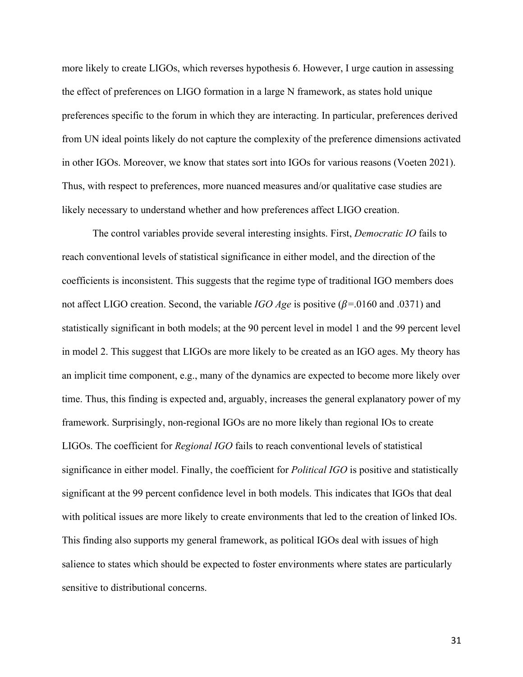more likely to create LIGOs, which reverses hypothesis 6. However, I urge caution in assessing the effect of preferences on LIGO formation in a large N framework, as states hold unique preferences specific to the forum in which they are interacting. In particular, preferences derived from UN ideal points likely do not capture the complexity of the preference dimensions activated in other IGOs. Moreover, we know that states sort into IGOs for various reasons (Voeten 2021). Thus, with respect to preferences, more nuanced measures and/or qualitative case studies are likely necessary to understand whether and how preferences affect LIGO creation.

The control variables provide several interesting insights. First, *Democratic IO* fails to reach conventional levels of statistical significance in either model, and the direction of the coefficients is inconsistent. This suggests that the regime type of traditional IGO members does not affect LIGO creation. Second, the variable *IGO Age* is positive  $(\beta = .0160 \text{ and } .0371)$  and statistically significant in both models; at the 90 percent level in model 1 and the 99 percent level in model 2. This suggest that LIGOs are more likely to be created as an IGO ages. My theory has an implicit time component, e.g., many of the dynamics are expected to become more likely over time. Thus, this finding is expected and, arguably, increases the general explanatory power of my framework. Surprisingly, non-regional IGOs are no more likely than regional IOs to create LIGOs. The coefficient for *Regional IGO* fails to reach conventional levels of statistical significance in either model. Finally, the coefficient for *Political IGO* is positive and statistically significant at the 99 percent confidence level in both models. This indicates that IGOs that deal with political issues are more likely to create environments that led to the creation of linked IOs. This finding also supports my general framework, as political IGOs deal with issues of high salience to states which should be expected to foster environments where states are particularly sensitive to distributional concerns.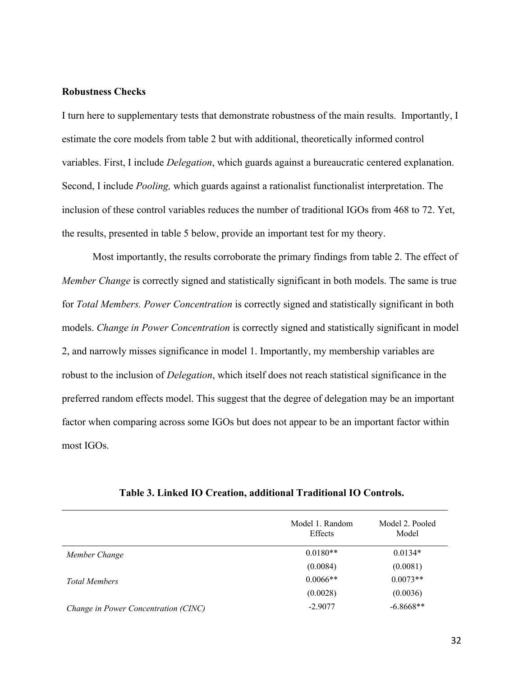## **Robustness Checks**

I turn here to supplementary tests that demonstrate robustness of the main results. Importantly, I estimate the core models from table 2 but with additional, theoretically informed control variables. First, I include *Delegation*, which guards against a bureaucratic centered explanation. Second, I include *Pooling,* which guards against a rationalist functionalist interpretation. The inclusion of these control variables reduces the number of traditional IGOs from 468 to 72. Yet, the results, presented in table 5 below, provide an important test for my theory.

Most importantly, the results corroborate the primary findings from table 2. The effect of *Member Change* is correctly signed and statistically significant in both models. The same is true for *Total Members. Power Concentration* is correctly signed and statistically significant in both models. *Change in Power Concentration* is correctly signed and statistically significant in model 2, and narrowly misses significance in model 1. Importantly, my membership variables are robust to the inclusion of *Delegation*, which itself does not reach statistical significance in the preferred random effects model. This suggest that the degree of delegation may be an important factor when comparing across some IGOs but does not appear to be an important factor within most IGOs.

|                                      | Model 1. Random<br>Effects | Model 2. Pooled<br>Model |
|--------------------------------------|----------------------------|--------------------------|
| Member Change                        | $0.0180**$                 | $0.0134*$                |
|                                      | (0.0084)                   | (0.0081)                 |
| <b>Total Members</b>                 | $0.0066**$                 | $0.0073**$               |
|                                      | (0.0028)                   | (0.0036)                 |
| Change in Power Concentration (CINC) | $-2.9077$                  | $-6.8668**$              |

**Table 3. Linked IO Creation, additional Traditional IO Controls.**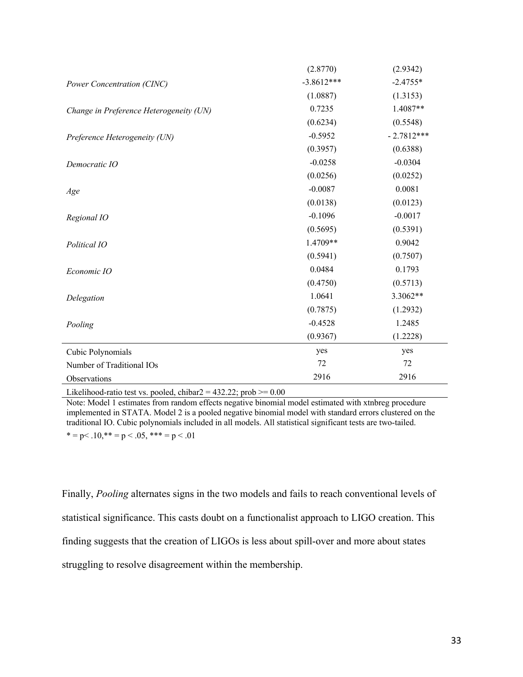|                                         | (2.8770)     | (2.9342)     |
|-----------------------------------------|--------------|--------------|
| Power Concentration (CINC)              | $-3.8612***$ | $-2.4755*$   |
|                                         | (1.0887)     | (1.3153)     |
| Change in Preference Heterogeneity (UN) | 0.7235       | 1.4087**     |
|                                         | (0.6234)     | (0.5548)     |
| Preference Heterogeneity (UN)           | $-0.5952$    | $-2.7812***$ |
|                                         | (0.3957)     | (0.6388)     |
| Democratic IO                           | $-0.0258$    | $-0.0304$    |
|                                         | (0.0256)     | (0.0252)     |
| Age                                     | $-0.0087$    | 0.0081       |
|                                         | (0.0138)     | (0.0123)     |
| Regional IO                             | $-0.1096$    | $-0.0017$    |
|                                         | (0.5695)     | (0.5391)     |
| Political IO                            | 1.4709**     | 0.9042       |
|                                         | (0.5941)     | (0.7507)     |
| Economic IO                             | 0.0484       | 0.1793       |
|                                         | (0.4750)     | (0.5713)     |
| Delegation                              | 1.0641       | 3.3062**     |
|                                         | (0.7875)     | (1.2932)     |
| Pooling                                 | $-0.4528$    | 1.2485       |
|                                         | (0.9367)     | (1.2228)     |
| Cubic Polynomials                       | yes          | yes          |
| Number of Traditional IOs               | 72           | 72           |
| Observations                            | 2916         | 2916         |

Likelihood-ratio test vs. pooled, chibar $2 = 432.22$ ; prob  $> = 0.00$ 

Note: Model 1 estimates from random effects negative binomial model estimated with xtnbreg procedure implemented in STATA. Model 2 is a pooled negative binomial model with standard errors clustered on the traditional IO. Cubic polynomials included in all models. All statistical significant tests are two-tailed.

 $* = p < .10, ** = p < .05, ** = p < .01$ 

Finally, *Pooling* alternates signs in the two models and fails to reach conventional levels of statistical significance. This casts doubt on a functionalist approach to LIGO creation. This finding suggests that the creation of LIGOs is less about spill-over and more about states struggling to resolve disagreement within the membership.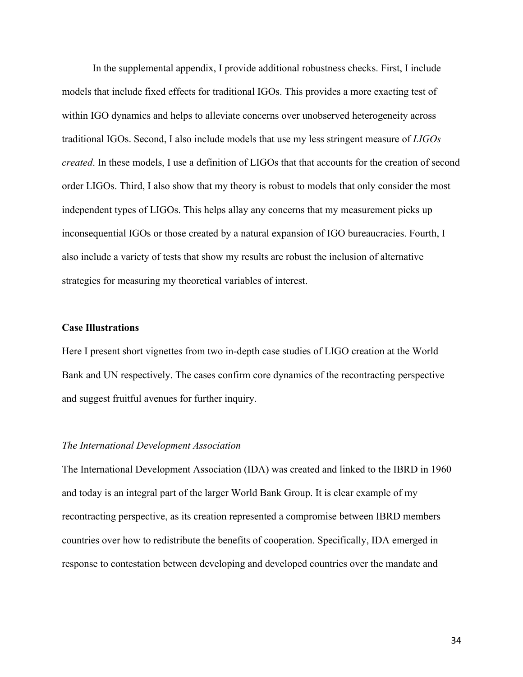In the supplemental appendix, I provide additional robustness checks. First, I include models that include fixed effects for traditional IGOs. This provides a more exacting test of within IGO dynamics and helps to alleviate concerns over unobserved heterogeneity across traditional IGOs. Second, I also include models that use my less stringent measure of *LIGOs created*. In these models, I use a definition of LIGOs that that accounts for the creation of second order LIGOs. Third, I also show that my theory is robust to models that only consider the most independent types of LIGOs. This helps allay any concerns that my measurement picks up inconsequential IGOs or those created by a natural expansion of IGO bureaucracies. Fourth, I also include a variety of tests that show my results are robust the inclusion of alternative strategies for measuring my theoretical variables of interest.

### **Case Illustrations**

Here I present short vignettes from two in-depth case studies of LIGO creation at the World Bank and UN respectively. The cases confirm core dynamics of the recontracting perspective and suggest fruitful avenues for further inquiry.

#### *The International Development Association*

The International Development Association (IDA) was created and linked to the IBRD in 1960 and today is an integral part of the larger World Bank Group. It is clear example of my recontracting perspective, as its creation represented a compromise between IBRD members countries over how to redistribute the benefits of cooperation. Specifically, IDA emerged in response to contestation between developing and developed countries over the mandate and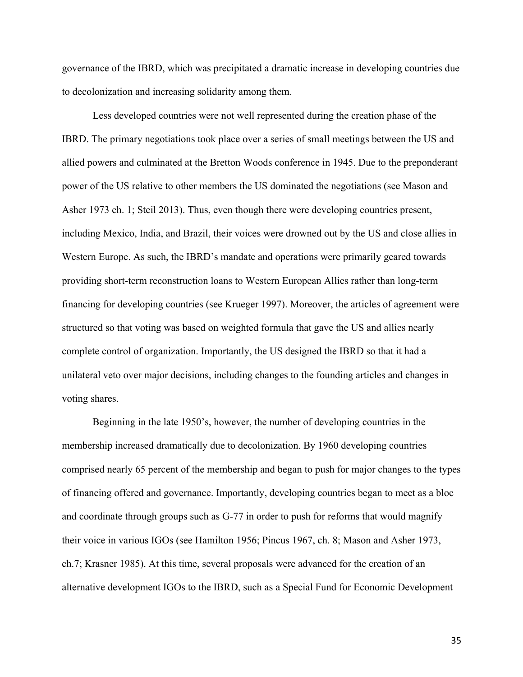governance of the IBRD, which was precipitated a dramatic increase in developing countries due to decolonization and increasing solidarity among them.

Less developed countries were not well represented during the creation phase of the IBRD. The primary negotiations took place over a series of small meetings between the US and allied powers and culminated at the Bretton Woods conference in 1945. Due to the preponderant power of the US relative to other members the US dominated the negotiations (see Mason and Asher 1973 ch. 1; Steil 2013). Thus, even though there were developing countries present, including Mexico, India, and Brazil, their voices were drowned out by the US and close allies in Western Europe. As such, the IBRD's mandate and operations were primarily geared towards providing short-term reconstruction loans to Western European Allies rather than long-term financing for developing countries (see Krueger 1997). Moreover, the articles of agreement were structured so that voting was based on weighted formula that gave the US and allies nearly complete control of organization. Importantly, the US designed the IBRD so that it had a unilateral veto over major decisions, including changes to the founding articles and changes in voting shares.

Beginning in the late 1950's, however, the number of developing countries in the membership increased dramatically due to decolonization. By 1960 developing countries comprised nearly 65 percent of the membership and began to push for major changes to the types of financing offered and governance. Importantly, developing countries began to meet as a bloc and coordinate through groups such as G-77 in order to push for reforms that would magnify their voice in various IGOs (see Hamilton 1956; Pincus 1967, ch. 8; Mason and Asher 1973, ch.7; Krasner 1985). At this time, several proposals were advanced for the creation of an alternative development IGOs to the IBRD, such as a Special Fund for Economic Development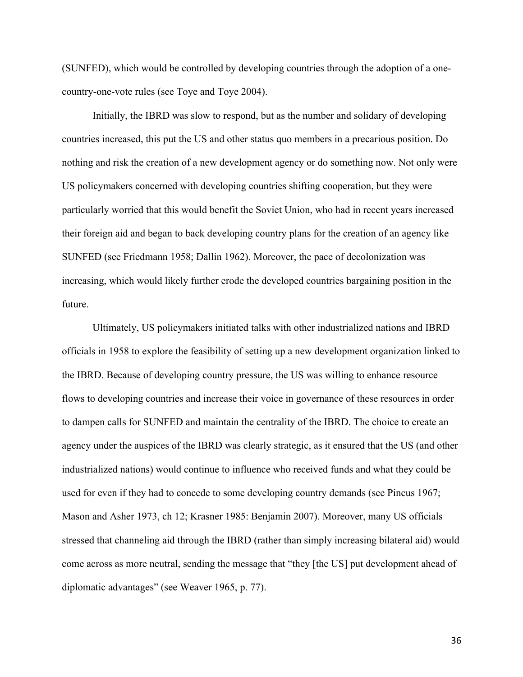(SUNFED), which would be controlled by developing countries through the adoption of a onecountry-one-vote rules (see Toye and Toye 2004).

Initially, the IBRD was slow to respond, but as the number and solidary of developing countries increased, this put the US and other status quo members in a precarious position. Do nothing and risk the creation of a new development agency or do something now. Not only were US policymakers concerned with developing countries shifting cooperation, but they were particularly worried that this would benefit the Soviet Union, who had in recent years increased their foreign aid and began to back developing country plans for the creation of an agency like SUNFED (see Friedmann 1958; Dallin 1962). Moreover, the pace of decolonization was increasing, which would likely further erode the developed countries bargaining position in the future.

Ultimately, US policymakers initiated talks with other industrialized nations and IBRD officials in 1958 to explore the feasibility of setting up a new development organization linked to the IBRD. Because of developing country pressure, the US was willing to enhance resource flows to developing countries and increase their voice in governance of these resources in order to dampen calls for SUNFED and maintain the centrality of the IBRD. The choice to create an agency under the auspices of the IBRD was clearly strategic, as it ensured that the US (and other industrialized nations) would continue to influence who received funds and what they could be used for even if they had to concede to some developing country demands (see Pincus 1967; Mason and Asher 1973, ch 12; Krasner 1985: Benjamin 2007). Moreover, many US officials stressed that channeling aid through the IBRD (rather than simply increasing bilateral aid) would come across as more neutral, sending the message that "they [the US] put development ahead of diplomatic advantages" (see Weaver 1965, p. 77).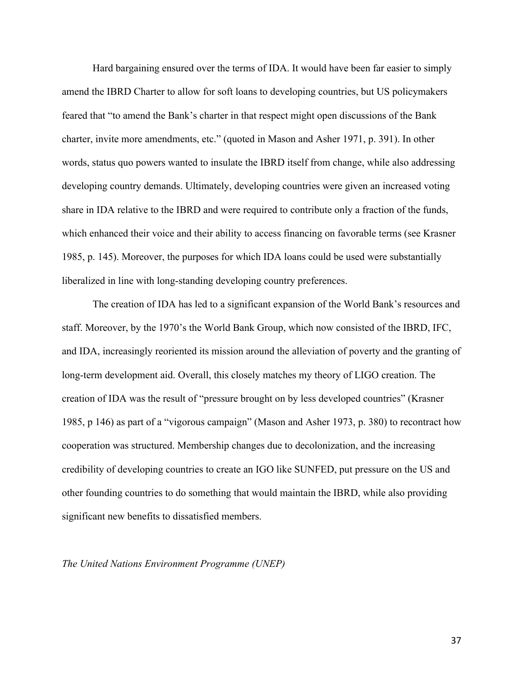Hard bargaining ensured over the terms of IDA. It would have been far easier to simply amend the IBRD Charter to allow for soft loans to developing countries, but US policymakers feared that "to amend the Bank's charter in that respect might open discussions of the Bank charter, invite more amendments, etc." (quoted in Mason and Asher 1971, p. 391). In other words, status quo powers wanted to insulate the IBRD itself from change, while also addressing developing country demands. Ultimately, developing countries were given an increased voting share in IDA relative to the IBRD and were required to contribute only a fraction of the funds, which enhanced their voice and their ability to access financing on favorable terms (see Krasner 1985, p. 145). Moreover, the purposes for which IDA loans could be used were substantially liberalized in line with long-standing developing country preferences.

The creation of IDA has led to a significant expansion of the World Bank's resources and staff. Moreover, by the 1970's the World Bank Group, which now consisted of the IBRD, IFC, and IDA, increasingly reoriented its mission around the alleviation of poverty and the granting of long-term development aid. Overall, this closely matches my theory of LIGO creation. The creation of IDA was the result of "pressure brought on by less developed countries" (Krasner 1985, p 146) as part of a "vigorous campaign" (Mason and Asher 1973, p. 380) to recontract how cooperation was structured. Membership changes due to decolonization, and the increasing credibility of developing countries to create an IGO like SUNFED, put pressure on the US and other founding countries to do something that would maintain the IBRD, while also providing significant new benefits to dissatisfied members.

### *The United Nations Environment Programme (UNEP)*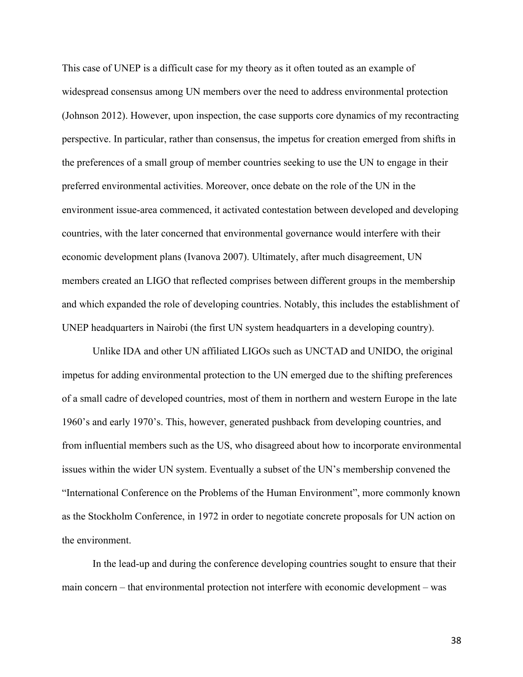This case of UNEP is a difficult case for my theory as it often touted as an example of widespread consensus among UN members over the need to address environmental protection (Johnson 2012). However, upon inspection, the case supports core dynamics of my recontracting perspective. In particular, rather than consensus, the impetus for creation emerged from shifts in the preferences of a small group of member countries seeking to use the UN to engage in their preferred environmental activities. Moreover, once debate on the role of the UN in the environment issue-area commenced, it activated contestation between developed and developing countries, with the later concerned that environmental governance would interfere with their economic development plans (Ivanova 2007). Ultimately, after much disagreement, UN members created an LIGO that reflected comprises between different groups in the membership and which expanded the role of developing countries. Notably, this includes the establishment of UNEP headquarters in Nairobi (the first UN system headquarters in a developing country).

Unlike IDA and other UN affiliated LIGOs such as UNCTAD and UNIDO, the original impetus for adding environmental protection to the UN emerged due to the shifting preferences of a small cadre of developed countries, most of them in northern and western Europe in the late 1960's and early 1970's. This, however, generated pushback from developing countries, and from influential members such as the US, who disagreed about how to incorporate environmental issues within the wider UN system. Eventually a subset of the UN's membership convened the "International Conference on the Problems of the Human Environment", more commonly known as the Stockholm Conference, in 1972 in order to negotiate concrete proposals for UN action on the environment.

In the lead-up and during the conference developing countries sought to ensure that their main concern – that environmental protection not interfere with economic development – was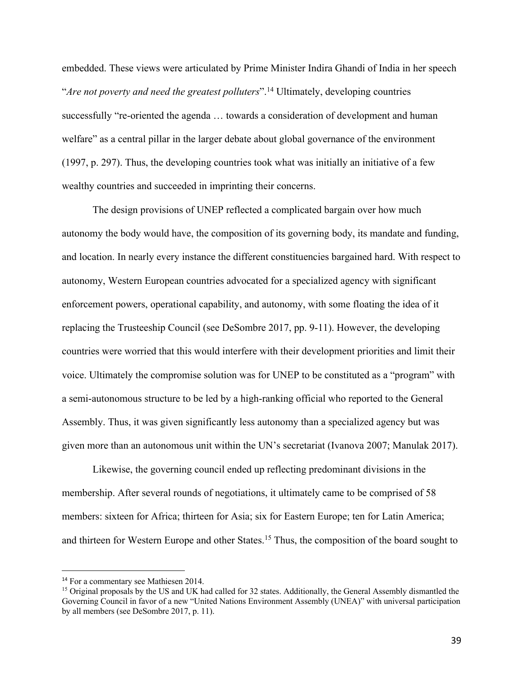embedded. These views were articulated by Prime Minister Indira Ghandi of India in her speech "*Are not poverty and need the greatest polluters*".14 Ultimately, developing countries successfully "re-oriented the agenda … towards a consideration of development and human welfare" as a central pillar in the larger debate about global governance of the environment (1997, p. 297). Thus, the developing countries took what was initially an initiative of a few wealthy countries and succeeded in imprinting their concerns.

The design provisions of UNEP reflected a complicated bargain over how much autonomy the body would have, the composition of its governing body, its mandate and funding, and location. In nearly every instance the different constituencies bargained hard. With respect to autonomy, Western European countries advocated for a specialized agency with significant enforcement powers, operational capability, and autonomy, with some floating the idea of it replacing the Trusteeship Council (see DeSombre 2017, pp. 9-11). However, the developing countries were worried that this would interfere with their development priorities and limit their voice. Ultimately the compromise solution was for UNEP to be constituted as a "program" with a semi-autonomous structure to be led by a high-ranking official who reported to the General Assembly. Thus, it was given significantly less autonomy than a specialized agency but was given more than an autonomous unit within the UN's secretariat (Ivanova 2007; Manulak 2017).

Likewise, the governing council ended up reflecting predominant divisions in the membership. After several rounds of negotiations, it ultimately came to be comprised of 58 members: sixteen for Africa; thirteen for Asia; six for Eastern Europe; ten for Latin America; and thirteen for Western Europe and other States.<sup>15</sup> Thus, the composition of the board sought to

<sup>&</sup>lt;sup>14</sup> For a commentary see Mathiesen 2014.

<sup>&</sup>lt;sup>15</sup> Original proposals by the US and UK had called for 32 states. Additionally, the General Assembly dismantled the Governing Council in favor of a new "United Nations Environment Assembly (UNEA)" with universal participation by all members (see DeSombre 2017, p. 11).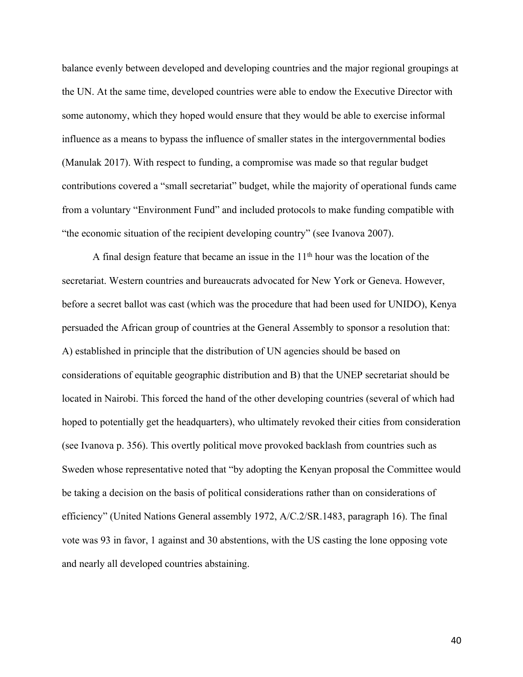balance evenly between developed and developing countries and the major regional groupings at the UN. At the same time, developed countries were able to endow the Executive Director with some autonomy, which they hoped would ensure that they would be able to exercise informal influence as a means to bypass the influence of smaller states in the intergovernmental bodies (Manulak 2017). With respect to funding, a compromise was made so that regular budget contributions covered a "small secretariat" budget, while the majority of operational funds came from a voluntary "Environment Fund" and included protocols to make funding compatible with "the economic situation of the recipient developing country" (see Ivanova 2007).

A final design feature that became an issue in the  $11<sup>th</sup>$  hour was the location of the secretariat. Western countries and bureaucrats advocated for New York or Geneva. However, before a secret ballot was cast (which was the procedure that had been used for UNIDO), Kenya persuaded the African group of countries at the General Assembly to sponsor a resolution that: A) established in principle that the distribution of UN agencies should be based on considerations of equitable geographic distribution and B) that the UNEP secretariat should be located in Nairobi. This forced the hand of the other developing countries (several of which had hoped to potentially get the headquarters), who ultimately revoked their cities from consideration (see Ivanova p. 356). This overtly political move provoked backlash from countries such as Sweden whose representative noted that "by adopting the Kenyan proposal the Committee would be taking a decision on the basis of political considerations rather than on considerations of efficiency" (United Nations General assembly 1972, A/C.2/SR.1483, paragraph 16). The final vote was 93 in favor, 1 against and 30 abstentions, with the US casting the lone opposing vote and nearly all developed countries abstaining.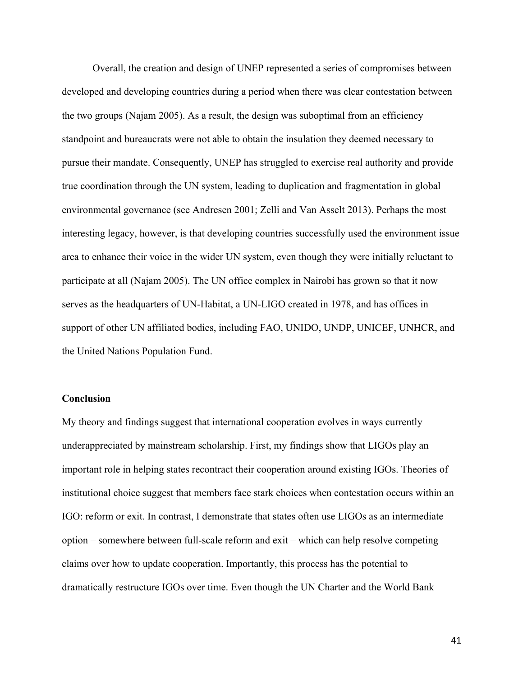Overall, the creation and design of UNEP represented a series of compromises between developed and developing countries during a period when there was clear contestation between the two groups (Najam 2005). As a result, the design was suboptimal from an efficiency standpoint and bureaucrats were not able to obtain the insulation they deemed necessary to pursue their mandate. Consequently, UNEP has struggled to exercise real authority and provide true coordination through the UN system, leading to duplication and fragmentation in global environmental governance (see Andresen 2001; Zelli and Van Asselt 2013). Perhaps the most interesting legacy, however, is that developing countries successfully used the environment issue area to enhance their voice in the wider UN system, even though they were initially reluctant to participate at all (Najam 2005). The UN office complex in Nairobi has grown so that it now serves as the headquarters of UN-Habitat, a UN-LIGO created in 1978, and has offices in support of other UN affiliated bodies, including FAO, UNIDO, UNDP, UNICEF, UNHCR, and the United Nations Population Fund.

## **Conclusion**

My theory and findings suggest that international cooperation evolves in ways currently underappreciated by mainstream scholarship. First, my findings show that LIGOs play an important role in helping states recontract their cooperation around existing IGOs. Theories of institutional choice suggest that members face stark choices when contestation occurs within an IGO: reform or exit. In contrast, I demonstrate that states often use LIGOs as an intermediate option – somewhere between full-scale reform and exit – which can help resolve competing claims over how to update cooperation. Importantly, this process has the potential to dramatically restructure IGOs over time. Even though the UN Charter and the World Bank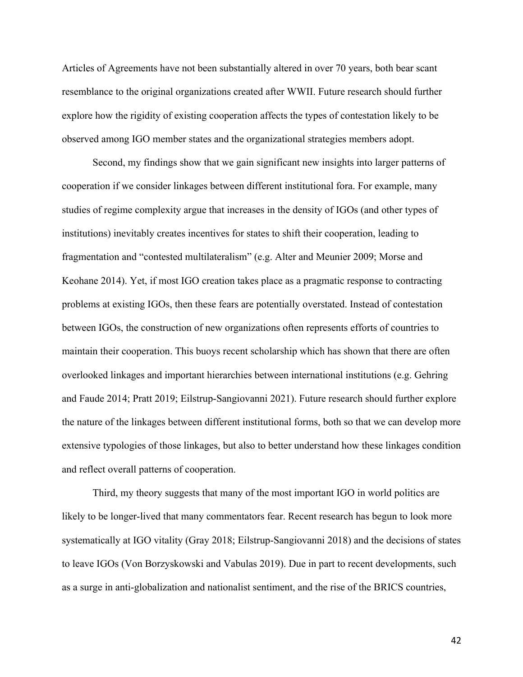Articles of Agreements have not been substantially altered in over 70 years, both bear scant resemblance to the original organizations created after WWII. Future research should further explore how the rigidity of existing cooperation affects the types of contestation likely to be observed among IGO member states and the organizational strategies members adopt.

Second, my findings show that we gain significant new insights into larger patterns of cooperation if we consider linkages between different institutional fora. For example, many studies of regime complexity argue that increases in the density of IGOs (and other types of institutions) inevitably creates incentives for states to shift their cooperation, leading to fragmentation and "contested multilateralism" (e.g. Alter and Meunier 2009; Morse and Keohane 2014). Yet, if most IGO creation takes place as a pragmatic response to contracting problems at existing IGOs, then these fears are potentially overstated. Instead of contestation between IGOs, the construction of new organizations often represents efforts of countries to maintain their cooperation. This buoys recent scholarship which has shown that there are often overlooked linkages and important hierarchies between international institutions (e.g. Gehring and Faude 2014; Pratt 2019; Eilstrup-Sangiovanni 2021). Future research should further explore the nature of the linkages between different institutional forms, both so that we can develop more extensive typologies of those linkages, but also to better understand how these linkages condition and reflect overall patterns of cooperation.

Third, my theory suggests that many of the most important IGO in world politics are likely to be longer-lived that many commentators fear. Recent research has begun to look more systematically at IGO vitality (Gray 2018; Eilstrup-Sangiovanni 2018) and the decisions of states to leave IGOs (Von Borzyskowski and Vabulas 2019). Due in part to recent developments, such as a surge in anti-globalization and nationalist sentiment, and the rise of the BRICS countries,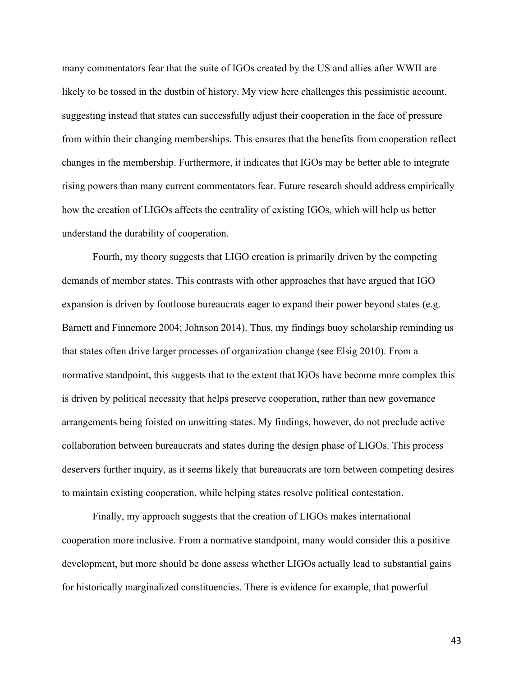many commentators fear that the suite of IGOs created by the US and allies after WWII are likely to be tossed in the dustbin of history. My view here challenges this pessimistic account, suggesting instead that states can successfully adjust their cooperation in the face of pressure from within their changing memberships. This ensures that the benefits from cooperation reflect changes in the membership. Furthermore, it indicates that IGOs may be better able to integrate rising powers than many current commentators fear. Future research should address empirically how the creation of LIGOs affects the centrality of existing IGOs, which will help us better understand the durability of cooperation.

Fourth, my theory suggests that LIGO creation is primarily driven by the competing demands of member states. This contrasts with other approaches that have argued that IGO expansion is driven by footloose bureaucrats eager to expand their power beyond states (e.g. Barnett and Finnemore 2004; Johnson 2014). Thus, my findings buoy scholarship reminding us that states often drive larger processes of organization change (see Elsig 2010). From a normative standpoint, this suggests that to the extent that IGOs have become more complex this is driven by political necessity that helps preserve cooperation, rather than new governance arrangements being foisted on unwitting states. My findings, however, do not preclude active collaboration between bureaucrats and states during the design phase of LIGOs. This process deservers further inquiry, as it seems likely that bureaucrats are torn between competing desires to maintain existing cooperation, while helping states resolve political contestation.

Finally, my approach suggests that the creation of LIGOs makes international cooperation more inclusive. From a normative standpoint, many would consider this a positive development, but more should be done assess whether LIGOs actually lead to substantial gains for historically marginalized constituencies. There is evidence for example, that powerful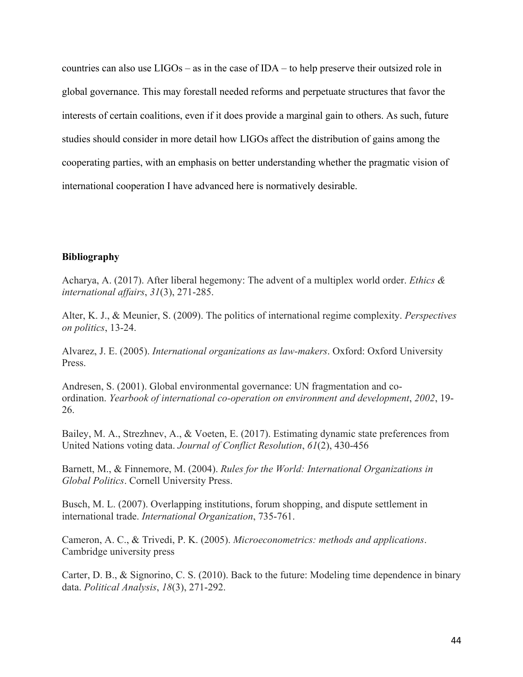countries can also use LIGOs – as in the case of IDA – to help preserve their outsized role in global governance. This may forestall needed reforms and perpetuate structures that favor the interests of certain coalitions, even if it does provide a marginal gain to others. As such, future studies should consider in more detail how LIGOs affect the distribution of gains among the cooperating parties, with an emphasis on better understanding whether the pragmatic vision of international cooperation I have advanced here is normatively desirable.

## **Bibliography**

Acharya, A. (2017). After liberal hegemony: The advent of a multiplex world order. *Ethics & international affairs*, *31*(3), 271-285.

Alter, K. J., & Meunier, S. (2009). The politics of international regime complexity. *Perspectives on politics*, 13-24.

Alvarez, J. E. (2005). *International organizations as law-makers*. Oxford: Oxford University Press.

Andresen, S. (2001). Global environmental governance: UN fragmentation and coordination. *Yearbook of international co-operation on environment and development*, *2002*, 19- 26.

Bailey, M. A., Strezhnev, A., & Voeten, E. (2017). Estimating dynamic state preferences from United Nations voting data. *Journal of Conflict Resolution*, *61*(2), 430-456

Barnett, M., & Finnemore, M. (2004). *Rules for the World: International Organizations in Global Politics*. Cornell University Press.

Busch, M. L. (2007). Overlapping institutions, forum shopping, and dispute settlement in international trade. *International Organization*, 735-761.

Cameron, A. C., & Trivedi, P. K. (2005). *Microeconometrics: methods and applications*. Cambridge university press

Carter, D. B., & Signorino, C. S. (2010). Back to the future: Modeling time dependence in binary data. *Political Analysis*, *18*(3), 271-292.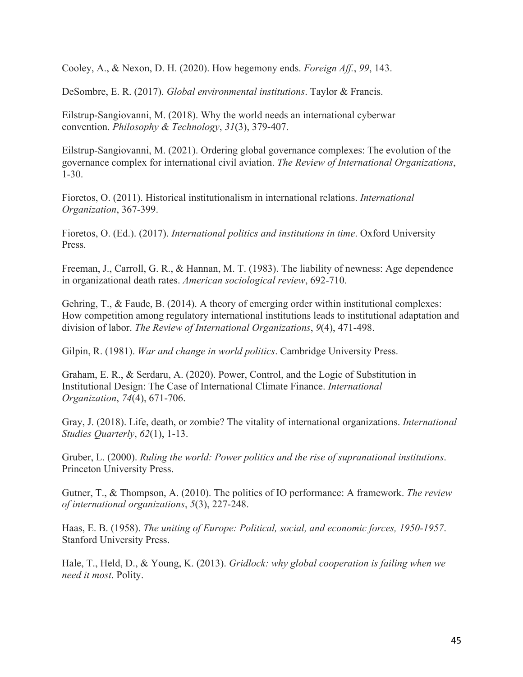Cooley, A., & Nexon, D. H. (2020). How hegemony ends. *Foreign Aff.*, *99*, 143.

DeSombre, E. R. (2017). *Global environmental institutions*. Taylor & Francis.

Eilstrup-Sangiovanni, M. (2018). Why the world needs an international cyberwar convention. *Philosophy & Technology*, *31*(3), 379-407.

Eilstrup-Sangiovanni, M. (2021). Ordering global governance complexes: The evolution of the governance complex for international civil aviation. *The Review of International Organizations*, 1-30.

Fioretos, O. (2011). Historical institutionalism in international relations. *International Organization*, 367-399.

Fioretos, O. (Ed.). (2017). *International politics and institutions in time*. Oxford University Press.

Freeman, J., Carroll, G. R., & Hannan, M. T. (1983). The liability of newness: Age dependence in organizational death rates. *American sociological review*, 692-710.

Gehring, T., & Faude, B. (2014). A theory of emerging order within institutional complexes: How competition among regulatory international institutions leads to institutional adaptation and division of labor. *The Review of International Organizations*, *9*(4), 471-498.

Gilpin, R. (1981). *War and change in world politics*. Cambridge University Press.

Graham, E. R., & Serdaru, A. (2020). Power, Control, and the Logic of Substitution in Institutional Design: The Case of International Climate Finance. *International Organization*, *74*(4), 671-706.

Gray, J. (2018). Life, death, or zombie? The vitality of international organizations. *International Studies Quarterly*, *62*(1), 1-13.

Gruber, L. (2000). *Ruling the world: Power politics and the rise of supranational institutions*. Princeton University Press.

Gutner, T., & Thompson, A. (2010). The politics of IO performance: A framework. *The review of international organizations*, *5*(3), 227-248.

Haas, E. B. (1958). *The uniting of Europe: Political, social, and economic forces, 1950-1957*. Stanford University Press.

Hale, T., Held, D., & Young, K. (2013). *Gridlock: why global cooperation is failing when we need it most*. Polity.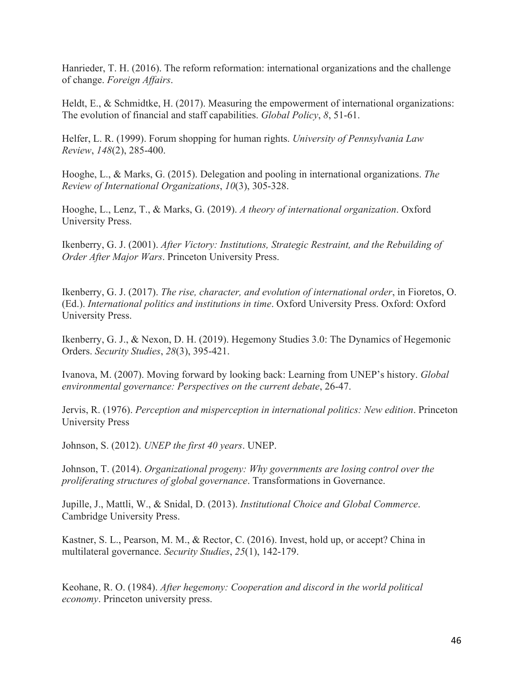Hanrieder, T. H. (2016). The reform reformation: international organizations and the challenge of change. *Foreign Affairs*.

Heldt, E., & Schmidtke, H. (2017). Measuring the empowerment of international organizations: The evolution of financial and staff capabilities. *Global Policy*, *8*, 51-61.

Helfer, L. R. (1999). Forum shopping for human rights. *University of Pennsylvania Law Review*, *148*(2), 285-400.

Hooghe, L., & Marks, G. (2015). Delegation and pooling in international organizations. *The Review of International Organizations*, *10*(3), 305-328.

Hooghe, L., Lenz, T., & Marks, G. (2019). *A theory of international organization*. Oxford University Press.

Ikenberry, G. J. (2001). *After Victory: Institutions, Strategic Restraint, and the Rebuilding of Order After Major Wars*. Princeton University Press.

Ikenberry, G. J. (2017). *The rise, character, and evolution of international order*, in Fioretos, O. (Ed.). *International politics and institutions in time*. Oxford University Press. Oxford: Oxford University Press.

Ikenberry, G. J., & Nexon, D. H. (2019). Hegemony Studies 3.0: The Dynamics of Hegemonic Orders. *Security Studies*, *28*(3), 395-421.

Ivanova, M. (2007). Moving forward by looking back: Learning from UNEP's history. *Global environmental governance: Perspectives on the current debate*, 26-47.

Jervis, R. (1976). *Perception and misperception in international politics: New edition*. Princeton University Press

Johnson, S. (2012). *UNEP the first 40 years*. UNEP.

Johnson, T. (2014). *Organizational progeny: Why governments are losing control over the proliferating structures of global governance*. Transformations in Governance.

Jupille, J., Mattli, W., & Snidal, D. (2013). *Institutional Choice and Global Commerce*. Cambridge University Press.

Kastner, S. L., Pearson, M. M., & Rector, C. (2016). Invest, hold up, or accept? China in multilateral governance. *Security Studies*, *25*(1), 142-179.

Keohane, R. O. (1984). *After hegemony: Cooperation and discord in the world political economy*. Princeton university press.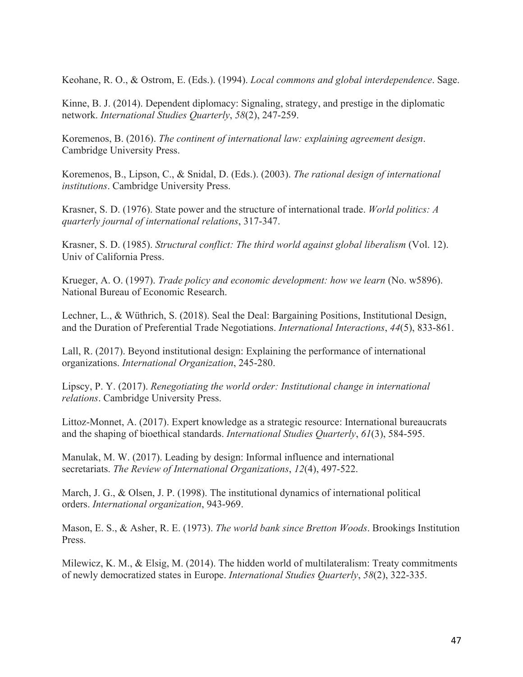Keohane, R. O., & Ostrom, E. (Eds.). (1994). *Local commons and global interdependence*. Sage.

Kinne, B. J. (2014). Dependent diplomacy: Signaling, strategy, and prestige in the diplomatic network. *International Studies Quarterly*, *58*(2), 247-259.

Koremenos, B. (2016). *The continent of international law: explaining agreement design*. Cambridge University Press.

Koremenos, B., Lipson, C., & Snidal, D. (Eds.). (2003). *The rational design of international institutions*. Cambridge University Press.

Krasner, S. D. (1976). State power and the structure of international trade. *World politics: A quarterly journal of international relations*, 317-347.

Krasner, S. D. (1985). *Structural conflict: The third world against global liberalism* (Vol. 12). Univ of California Press.

Krueger, A. O. (1997). *Trade policy and economic development: how we learn* (No. w5896). National Bureau of Economic Research.

Lechner, L., & Wüthrich, S. (2018). Seal the Deal: Bargaining Positions, Institutional Design, and the Duration of Preferential Trade Negotiations. *International Interactions*, *44*(5), 833-861.

Lall, R. (2017). Beyond institutional design: Explaining the performance of international organizations. *International Organization*, 245-280.

Lipscy, P. Y. (2017). *Renegotiating the world order: Institutional change in international relations*. Cambridge University Press.

Littoz-Monnet, A. (2017). Expert knowledge as a strategic resource: International bureaucrats and the shaping of bioethical standards. *International Studies Quarterly*, *61*(3), 584-595.

Manulak, M. W. (2017). Leading by design: Informal influence and international secretariats. *The Review of International Organizations*, *12*(4), 497-522.

March, J. G., & Olsen, J. P. (1998). The institutional dynamics of international political orders. *International organization*, 943-969.

Mason, E. S., & Asher, R. E. (1973). *The world bank since Bretton Woods*. Brookings Institution Press.

Milewicz, K. M., & Elsig, M. (2014). The hidden world of multilateralism: Treaty commitments of newly democratized states in Europe. *International Studies Quarterly*, *58*(2), 322-335.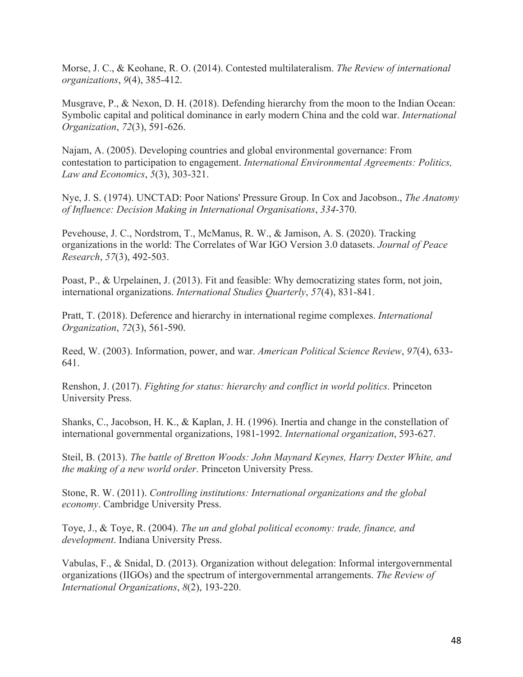Morse, J. C., & Keohane, R. O. (2014). Contested multilateralism. *The Review of international organizations*, *9*(4), 385-412.

Musgrave, P., & Nexon, D. H. (2018). Defending hierarchy from the moon to the Indian Ocean: Symbolic capital and political dominance in early modern China and the cold war. *International Organization*, *72*(3), 591-626.

Najam, A. (2005). Developing countries and global environmental governance: From contestation to participation to engagement. *International Environmental Agreements: Politics, Law and Economics*, *5*(3), 303-321.

Nye, J. S. (1974). UNCTAD: Poor Nations' Pressure Group. In Cox and Jacobson., *The Anatomy of Influence: Decision Making in International Organisations*, *334*-370.

Pevehouse, J. C., Nordstrom, T., McManus, R. W., & Jamison, A. S. (2020). Tracking organizations in the world: The Correlates of War IGO Version 3.0 datasets. *Journal of Peace Research*, *57*(3), 492-503.

Poast, P., & Urpelainen, J. (2013). Fit and feasible: Why democratizing states form, not join, international organizations. *International Studies Quarterly*, *57*(4), 831-841.

Pratt, T. (2018). Deference and hierarchy in international regime complexes. *International Organization*, *72*(3), 561-590.

Reed, W. (2003). Information, power, and war. *American Political Science Review*, *97*(4), 633- 641.

Renshon, J. (2017). *Fighting for status: hierarchy and conflict in world politics*. Princeton University Press.

Shanks, C., Jacobson, H. K., & Kaplan, J. H. (1996). Inertia and change in the constellation of international governmental organizations, 1981-1992. *International organization*, 593-627.

Steil, B. (2013). *The battle of Bretton Woods: John Maynard Keynes, Harry Dexter White, and the making of a new world order*. Princeton University Press.

Stone, R. W. (2011). *Controlling institutions: International organizations and the global economy*. Cambridge University Press.

Toye, J., & Toye, R. (2004). *The un and global political economy: trade, finance, and development*. Indiana University Press.

Vabulas, F., & Snidal, D. (2013). Organization without delegation: Informal intergovernmental organizations (IIGOs) and the spectrum of intergovernmental arrangements. *The Review of International Organizations*, *8*(2), 193-220.